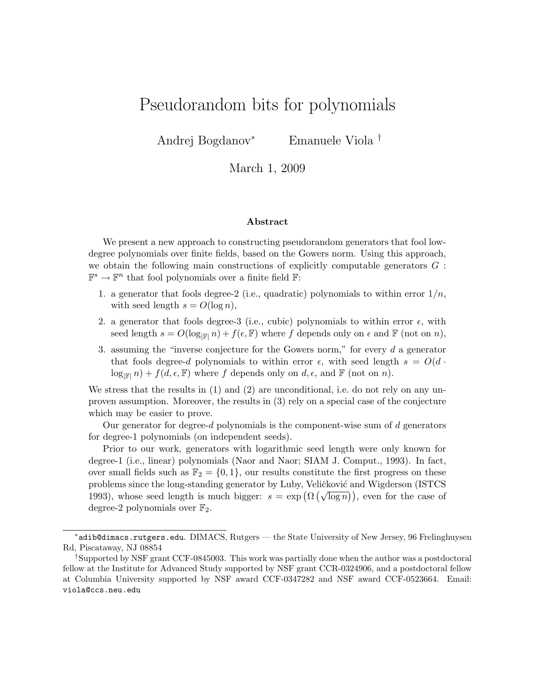# <span id="page-0-0"></span>Pseudorandom bits for polynomials

Andrej Bogdanov<sup>∗</sup> Emanuele Viola †

March 1, 2009

#### Abstract

We present a new approach to constructing pseudorandom generators that fool lowdegree polynomials over finite fields, based on the Gowers norm. Using this approach, we obtain the following main constructions of explicitly computable generators  $G$ :  $\mathbb{F}^s \to \mathbb{F}^n$  that fool polynomials over a finite field  $\mathbb{F}$ :

- 1. a generator that fools degree-2 (i.e., quadratic) polynomials to within error  $1/n$ , with seed length  $s = O(\log n)$ ,
- 2. a generator that fools degree-3 (i.e., cubic) polynomials to within error  $\epsilon$ , with seed length  $s = O(\log_{\mathbb{F}} n) + f(\epsilon, \mathbb{F})$  where f depends only on  $\epsilon$  and  $\mathbb{F}$  (not on n),
- 3. assuming the "inverse conjecture for the Gowers norm," for every  $d$  a generator that fools degree-d polynomials to within error  $\epsilon$ , with seed length  $s = O(d \cdot \epsilon)$  $\log_{\mathbb{F}}(n) + f(d, \epsilon, \mathbb{F})$  where f depends only on  $d, \epsilon$ , and  $\mathbb{F}$  (not on n).

We stress that the results in (1) and (2) are unconditional, i.e. do not rely on any unproven assumption. Moreover, the results in (3) rely on a special case of the conjecture which may be easier to prove.

Our generator for degree-d polynomials is the component-wise sum of  $d$  generators for degree-1 polynomials (on independent seeds).

Prior to our work, generators with logarithmic seed length were only known for degree-1 (i.e., linear) polynomials (Naor and Naor; SIAM J. Comput., 1993). In fact, over small fields such as  $\mathbb{F}_2 = \{0, 1\}$ , our results constitute the first progress on these problems since the long-standing generator by Luby, Veličković and Wigderson (ISTCS problems since the long-standing generator by Euby, venexity and wighters (ETCS) problems since the long-standing generator by Euby, venexity and wighters (151CS) degree-2 polynomials over  $\mathbb{F}_2$ .

<sup>∗</sup>adib@dimacs.rutgers.edu. DIMACS, Rutgers — the State University of New Jersey, 96 Frelinghuysen Rd, Piscataway, NJ 08854

<sup>†</sup>Supported by NSF grant CCF-0845003. This work was partially done when the author was a postdoctoral fellow at the Institute for Advanced Study supported by NSF grant CCR-0324906, and a postdoctoral fellow at Columbia University supported by NSF award CCF-0347282 and NSF award CCF-0523664. Email: viola@ccs.neu.edu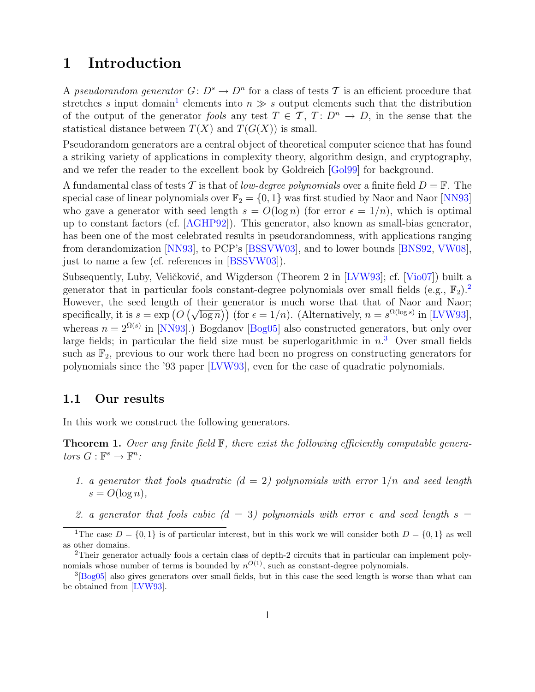### <span id="page-1-6"></span>1 Introduction

A pseudorandom generator  $G: D^s \to D^n$  for a class of tests T is an efficient procedure that stretches s input domain<sup>[1](#page-1-0)</sup> elements into  $n \gg s$  output elements such that the distribution of the output of the generator fools any test  $T \in \mathcal{T}$ ,  $T: D^n \to D$ , in the sense that the statistical distance between  $T(X)$  and  $T(G(X))$  is small.

Pseudorandom generators are a central object of theoretical computer science that has found a striking variety of applications in complexity theory, algorithm design, and cryptography, and we refer the reader to the excellent book by Goldreich [\[Gol99\]](#page-23-0) for background.

A fundamental class of tests T is that of low-degree polynomials over a finite field  $D = \mathbb{F}$ . The special case of linear polynomials over  $\mathbb{F}_2 = \{0, 1\}$  was first studied by Naor and Naor [\[NN93\]](#page-24-0) who gave a generator with seed length  $s = O(\log n)$  (for error  $\epsilon = 1/n$ ), which is optimal up to constant factors (cf. [\[AGHP92\]](#page-23-1)). This generator, also known as small-bias generator, has been one of the most celebrated results in pseudorandomness, with applications ranging from derandomization [\[NN93\]](#page-24-0), to PCP's [\[BSSVW03\]](#page-23-2), and to lower bounds [\[BNS92,](#page-23-3) [VW08\]](#page-24-1), just to name a few (cf. references in [\[BSSVW03\]](#page-23-2)).

Subsequently, Luby, Veličković, and Wigderson (Theorem 2 in [\[LVW93\]](#page-24-2); cf. [\[Vio07\]](#page-24-3)) built a generator that in particular fools constant-degree polynomials over small fields (e.g.,  $\mathbb{F}_2$  $\mathbb{F}_2$ ).<sup>2</sup> However, the seed length of their generator is much worse that that of Naor and Naor; However, the seed length of their generator is much worse that that of Naor and Naor;<br>specifically, it is  $s = \exp (O(\sqrt{\log n}))$  (for  $\epsilon = 1/n$ ). (Alternatively,  $n = s^{\Omega(\log s)}$  in [\[LVW93\]](#page-24-2), whereas  $n = 2^{\Omega(s)}$  in [\[NN93\]](#page-24-0).) Bogdanov [\[Bog05\]](#page-23-4) also constructed generators, but only over large fields; in particular the field size must be superlogarithmic in  $n<sup>3</sup>$  $n<sup>3</sup>$  $n<sup>3</sup>$  Over small fields such as  $\mathbb{F}_2$ , previous to our work there had been no progress on constructing generators for polynomials since the '93 paper [\[LVW93\]](#page-24-2), even for the case of quadratic polynomials.

#### 1.1 Our results

In this work we construct the following generators.

<span id="page-1-4"></span>**Theorem 1.** Over any finite field  $\mathbb{F}$ , there exist the following efficiently computable generators  $G : \mathbb{F}^s \to \mathbb{F}^n$ :

- <span id="page-1-3"></span>1. a generator that fools quadratic  $(d = 2)$  polynomials with error  $1/n$  and seed length  $s = O(\log n),$
- <span id="page-1-5"></span>2. a generator that fools cubic  $(d = 3)$  polynomials with error  $\epsilon$  and seed length  $s =$

<span id="page-1-0"></span><sup>&</sup>lt;sup>1</sup>The case  $D = \{0, 1\}$  is of particular interest, but in this work we will consider both  $D = \{0, 1\}$  as well as other domains.

<span id="page-1-1"></span><sup>2</sup>Their generator actually fools a certain class of depth-2 circuits that in particular can implement polynomials whose number of terms is bounded by  $n^{O(1)}$ , such as constant-degree polynomials.

<span id="page-1-2"></span><sup>&</sup>lt;sup>3</sup>[\[Bog05\]](#page-23-4) also gives generators over small fields, but in this case the seed length is worse than what can be obtained from [\[LVW93\]](#page-24-2).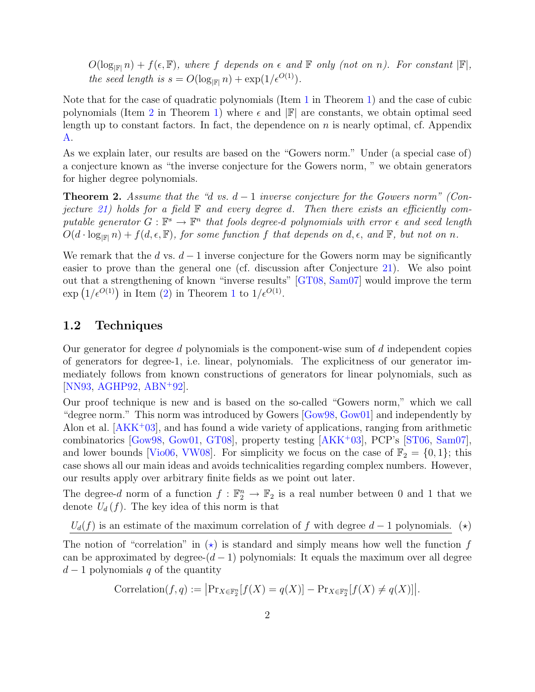<span id="page-2-1"></span> $O(\log_{|\mathbb{F}|} n) + f(\epsilon, \mathbb{F})$ , where f depends on  $\epsilon$  and  $\mathbb{F}$  only (not on n). For constant  $|\mathbb{F}|$ , the seed length is  $s = O(\log_{\mathbb{F}|\mathbb{F}|} n) + \exp(1/\epsilon^{O(1)})$ .

Note that for the case of quadratic polynomials (Item [1](#page-1-3) in Theorem [1\)](#page-1-4) and the case of cubic polynomials (Item [2](#page-1-5) in Theorem [1\)](#page-1-4) where  $\epsilon$  and  $\mathbb{F}$  are constants, we obtain optimal seed length up to constant factors. In fact, the dependence on  $n$  is nearly optimal, cf. Appendix [A.](#page-25-0)

As we explain later, our results are based on the "Gowers norm." Under (a special case of) a conjecture known as "the inverse conjecture for the Gowers norm, " we obtain generators for higher degree polynomials.

<span id="page-2-2"></span>**Theorem 2.** Assume that the "d vs.  $d-1$  inverse conjecture for the Gowers norm" (Con-jecture [21\)](#page-14-0) holds for a field  $\mathbb F$  and every degree d. Then there exists an efficiently computable generator  $G : \mathbb{F}^s \to \mathbb{F}^n$  that fools degree-d polynomials with error  $\epsilon$  and seed length  $O(d \cdot \log_{|\mathbb{F}|} n) + f(d, \epsilon, \mathbb{F})$ , for some function f that depends on d,  $\epsilon$ , and  $\mathbb{F}$ , but not on n.

We remark that the d vs.  $d-1$  inverse conjecture for the Gowers norm may be significantly easier to prove than the general one (cf. discussion after Conjecture [21\)](#page-14-0). We also point out that a strengthening of known "inverse results" [\[GT08,](#page-23-5) [Sam07\]](#page-24-4) would improve the term  $\exp\left(1/\epsilon^{O(1)}\right)$  $\exp\left(1/\epsilon^{O(1)}\right)$  $\exp\left(1/\epsilon^{O(1)}\right)$  in Item [\(2\)](#page-1-5) in Theorem 1 to  $1/\epsilon^{O(1)}$ .

#### 1.2 Techniques

Our generator for degree  $d$  polynomials is the component-wise sum of  $d$  independent copies of generators for degree-1, i.e. linear, polynomials. The explicitness of our generator immediately follows from known constructions of generators for linear polynomials, such as [\[NN93,](#page-24-0) [AGHP92,](#page-23-1) [ABN](#page-22-0)<sup>+</sup>92].

Our proof technique is new and is based on the so-called "Gowers norm," which we call "degree norm." This norm was introduced by Gowers [\[Gow98,](#page-23-6) [Gow01\]](#page-23-7) and independently by Alon et al.  $[AKK^+03]$  $[AKK^+03]$ , and has found a wide variety of applications, ranging from arithmetic combinatorics [\[Gow98,](#page-23-6) [Gow01,](#page-23-7) [GT08\]](#page-23-5), property testing [\[AKK](#page-23-8)<sup>+</sup>03], PCP's [\[ST06,](#page-24-5) [Sam07\]](#page-24-4), and lower bounds [\[Vio06,](#page-24-6) [VW08\]](#page-24-1). For simplicity we focus on the case of  $\mathbb{F}_2 = \{0, 1\}$ ; this case shows all our main ideas and avoids technicalities regarding complex numbers. However, our results apply over arbitrary finite fields as we point out later.

The degree-d norm of a function  $f : \mathbb{F}_2^n \to \mathbb{F}_2$  is a real number between 0 and 1 that we denote  $U_d(f)$ . The key idea of this norm is that

 $U_d(f)$  is an estimate of the maximum correlation of f with degree  $d-1$  polynomials. (\*)

The notion of "correlation" in  $(\star)$  is standard and simply means how well the function f can be approximated by degree- $(d-1)$  polynomials: It equals the maximum over all degree  $d-1$  polynomials q of the quantity

<span id="page-2-0"></span>Correlation $(f, q) := \left| \Pr_{X \in \mathbb{F}_2^n} [f(X) = q(X)] - \Pr_{X \in \mathbb{F}_2^n} [f(X) \neq q(X)] \right|$ .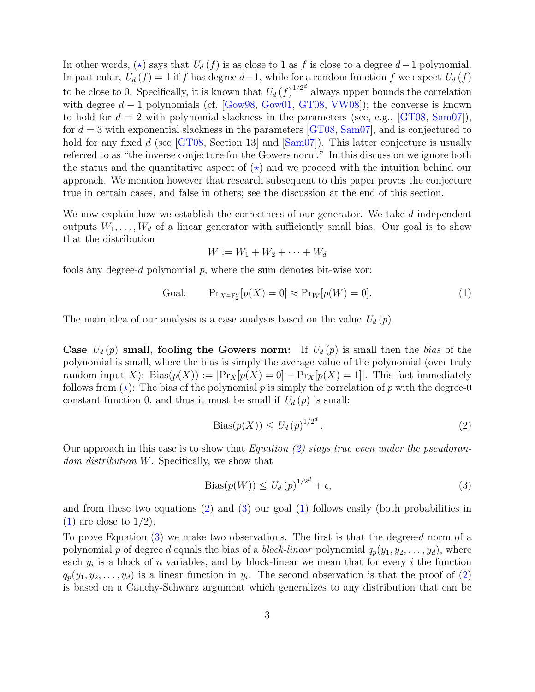<span id="page-3-3"></span>In other words,  $(\star)$  says that  $U_d(f)$  is as close to 1 as f is close to a degree  $d-1$  polynomial. In particular,  $U_d(f) = 1$  if f has degree  $d-1$ , while for a random function f we expect  $U_d(f)$ to be close to 0. Specifically, it is known that  $U_d (f)^{1/2^d}$  always upper bounds the correlation with degree  $d-1$  polynomials (cf. [\[Gow98,](#page-23-6) [Gow01,](#page-23-7) [GT08,](#page-23-5) [VW08\]](#page-24-1)); the converse is known to hold for  $d = 2$  with polynomial slackness in the parameters (see, e.g.,  $[GT08, Sam07]$  $[GT08, Sam07]$  $[GT08, Sam07]$ ), for  $d = 3$  with exponential slackness in the parameters [\[GT08,](#page-23-5) [Sam07\]](#page-24-4), and is conjectured to hold for any fixed d (see  $\left[GT08, \text{Section 13}\right]$  $\left[GT08, \text{Section 13}\right]$  $\left[GT08, \text{Section 13}\right]$  and  $\left[Sam07\right]$ ). This latter conjecture is usually referred to as "the inverse conjecture for the Gowers norm." In this discussion we ignore both the status and the quantitative aspect of  $(\star)$  and we proceed with the intuition behind our approach. We mention however that research subsequent to this paper proves the conjecture true in certain cases, and false in others; see the discussion at the end of this section.

We now explain how we establish the correctness of our generator. We take d independent outputs  $W_1, \ldots, W_d$  of a linear generator with sufficiently small bias. Our goal is to show that the distribution

$$
W := W_1 + W_2 + \cdots + W_d
$$

fools any degree-d polynomial  $p$ , where the sum denotes bit-wise xor:

<span id="page-3-2"></span>Goal: 
$$
\Pr_{X \in \mathbb{F}_2^n} [p(X) = 0] \approx \Pr_W [p(W) = 0]. \tag{1}
$$

The main idea of our analysis is a case analysis based on the value  $U_d(p)$ .

Case  $U_d(p)$  small, fooling the Gowers norm: If  $U_d(p)$  is small then the bias of the polynomial is small, where the bias is simply the average value of the polynomial (over truly random input X): Bias $(p(X)) := |\Pr_X[p(X) = 0] - \Pr_X[p(X) = 1]|$ . This fact immediately follows from  $(\star)$ : The bias of the polynomial p is simply the correlation of p with the degree-0 constant function 0, and thus it must be small if  $U_d(p)$  is small:

<span id="page-3-0"></span>
$$
\text{Bias}(p(X)) \le U_d(p)^{1/2^d} \,. \tag{2}
$$

Our approach in this case is to show that Equation [\(2\)](#page-3-0) stays true even under the pseudorandom distribution W. Specifically, we show that

<span id="page-3-1"></span>
$$
Bias(p(W)) \le U_d(p)^{1/2^d} + \epsilon,\tag{3}
$$

and from these two equations  $(2)$  and  $(3)$  our goal  $(1)$  follows easily (both probabilities in  $(1)$  are close to  $1/2$ ).

To prove Equation  $(3)$  we make two observations. The first is that the degree-d norm of a polynomial p of degree d equals the bias of a *block-linear* polynomial  $q_p(y_1, y_2, \ldots, y_d)$ , where each  $y_i$  is a block of n variables, and by block-linear we mean that for every i the function  $q_p(y_1, y_2, \ldots, y_d)$  is a linear function in  $y_i$ . The second observation is that the proof of [\(2\)](#page-3-0) is based on a Cauchy-Schwarz argument which generalizes to any distribution that can be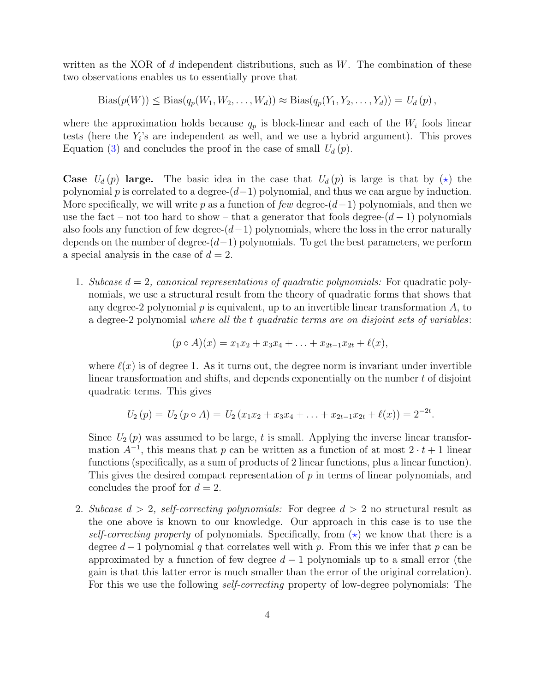written as the XOR of  $d$  independent distributions, such as  $W$ . The combination of these two observations enables us to essentially prove that

 $\text{Bias}(p(W)) \leq \text{Bias}(q_p(W_1, W_2, \ldots, W_d)) \approx \text{Bias}(q_p(Y_1, Y_2, \ldots, Y_d)) = U_d(p)$ ,

where the approximation holds because  $q_p$  is block-linear and each of the  $W_i$  fools linear tests (here the  $Y_i$ 's are independent as well, and we use a hybrid argument). This proves Equation [\(3\)](#page-3-1) and concludes the proof in the case of small  $U_d(p)$ .

**Case**  $U_d(p)$  large. The basic idea in the case that  $U_d(p)$  is large is that by  $(\star)$  the polynomial p is correlated to a degree- $(d-1)$  polynomial, and thus we can argue by induction. More specifically, we will write p as a function of few degree- $(d-1)$  polynomials, and then we use the fact – not too hard to show – that a generator that fools degree- $(d-1)$  polynomials also fools any function of few degree- $(d-1)$  polynomials, where the loss in the error naturally depends on the number of degree- $(d-1)$  polynomials. To get the best parameters, we perform a special analysis in the case of  $d = 2$ .

1. Subcase  $d = 2$ , canonical representations of quadratic polynomials: For quadratic polynomials, we use a structural result from the theory of quadratic forms that shows that any degree-2 polynomial  $p$  is equivalent, up to an invertible linear transformation  $A$ , to a degree-2 polynomial where all the t quadratic terms are on disjoint sets of variables:

$$
(p \circ A)(x) = x_1x_2 + x_3x_4 + \ldots + x_{2t-1}x_{2t} + \ell(x),
$$

where  $\ell(x)$  is of degree 1. As it turns out, the degree norm is invariant under invertible linear transformation and shifts, and depends exponentially on the number  $t$  of disjoint quadratic terms. This gives

$$
U_2(p) = U_2(p \circ A) = U_2(x_1x_2 + x_3x_4 + \ldots + x_{2t-1}x_{2t} + \ell(x)) = 2^{-2t}.
$$

Since  $U_2(p)$  was assumed to be large, t is small. Applying the inverse linear transformation  $A^{-1}$ , this means that p can be written as a function of at most  $2 \cdot t + 1$  linear functions (specifically, as a sum of products of 2 linear functions, plus a linear function). This gives the desired compact representation of  $p$  in terms of linear polynomials, and concludes the proof for  $d = 2$ .

2. Subcase  $d > 2$ , self-correcting polynomials: For degree  $d > 2$  no structural result as the one above is known to our knowledge. Our approach in this case is to use the self-correcting property of polynomials. Specifically, from  $(\star)$  we know that there is a degree  $d-1$  polynomial q that correlates well with p. From this we infer that p can be approximated by a function of few degree  $d-1$  polynomials up to a small error (the gain is that this latter error is much smaller than the error of the original correlation). For this we use the following self-correcting property of low-degree polynomials: The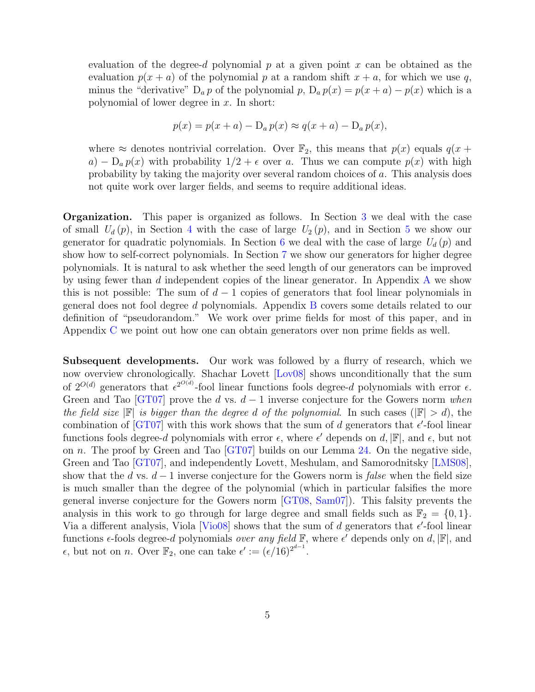<span id="page-5-0"></span>evaluation of the degree-d polynomial  $p$  at a given point  $x$  can be obtained as the evaluation  $p(x + a)$  of the polynomial p at a random shift  $x + a$ , for which we use q, minus the "derivative"  $D_a p$  of the polynomial p,  $D_a p(x) = p(x + a) - p(x)$  which is a polynomial of lower degree in  $x$ . In short:

$$
p(x) = p(x+a) - D_a p(x) \approx q(x+a) - D_a p(x),
$$

where  $\approx$  denotes nontrivial correlation. Over  $\mathbb{F}_2$ , this means that  $p(x)$  equals  $q(x +$ a) – D<sub>a</sub>  $p(x)$  with probability  $1/2 + \epsilon$  over a. Thus we can compute  $p(x)$  with high probability by taking the majority over several random choices of a. This analysis does not quite work over larger fields, and seems to require additional ideas.

Organization. This paper is organized as follows. In Section [3](#page-8-0) we deal with the case of small  $U_d(p)$ , in Section [4](#page-10-0) with the case of large  $U_2(p)$ , and in Section [5](#page-13-0) we show our generator for quadratic polynomials. In Section [6](#page-14-1) we deal with the case of large  $U_d(p)$  and show how to self-correct polynomials. In Section [7](#page-20-0) we show our generators for higher degree polynomials. It is natural to ask whether the seed length of our generators can be improved by using fewer than d independent copies of the linear generator. In [A](#page-25-0)ppendix  $\bf{A}$  we show this is not possible: The sum of  $d-1$  copies of generators that fool linear polynomials in general does not fool degree d polynomials. Appendix [B](#page-28-0) covers some details related to our definition of "pseudorandom." We work over prime fields for most of this paper, and in Appendix [C](#page-29-0) we point out how one can obtain generators over non prime fields as well.

Subsequent developments. Our work was followed by a flurry of research, which we now overview chronologically. Shachar Lovett [\[Lov08\]](#page-24-7) shows unconditionally that the sum of  $2^{O(d)}$  generators that  $\epsilon^{2^{O(d)}}$ -fool linear functions fools degree-d polynomials with error  $\epsilon$ . Green and Tao [\[GT07\]](#page-23-9) prove the d vs.  $d-1$  inverse conjecture for the Gowers norm when the field size  $\mathbb{F}$  is bigger than the degree d of the polynomial. In such cases  $(\mathbb{F} > d)$ , the combination of [\[GT07\]](#page-23-9) with this work shows that the sum of d generators that  $\epsilon'$ -fool linear functions fools degree-d polynomials with error  $\epsilon$ , where  $\epsilon'$  depends on d,  $\mathbb{F}$ , and  $\epsilon$ , but not on n. The proof by Green and Tao [\[GT07\]](#page-23-9) builds on our Lemma [24.](#page-15-0) On the negative side, Green and Tao [\[GT07\]](#page-23-9), and independently Lovett, Meshulam, and Samorodnitsky [\[LMS08\]](#page-24-8), show that the d vs.  $d-1$  inverse conjecture for the Gowers norm is *false* when the field size is much smaller than the degree of the polynomial (which in particular falsifies the more general inverse conjecture for the Gowers norm [\[GT08,](#page-23-5) [Sam07\]](#page-24-4)). This falsity prevents the analysis in this work to go through for large degree and small fields such as  $\mathbb{F}_2 = \{0, 1\}.$ Via a different analysis, Viola [\[Vio08\]](#page-24-9) shows that the sum of d generators that  $\epsilon'$ -fool linear functions  $\epsilon$ -fools degree-d polynomials *over any field*  $\mathbb{F}$ , where  $\epsilon'$  depends only on d,  $|\mathbb{F}|$ , and  $\epsilon$ , but not on *n*. Over  $\mathbb{F}_2$ , one can take  $\epsilon' := (\epsilon/16)^{2^{d-1}}$ .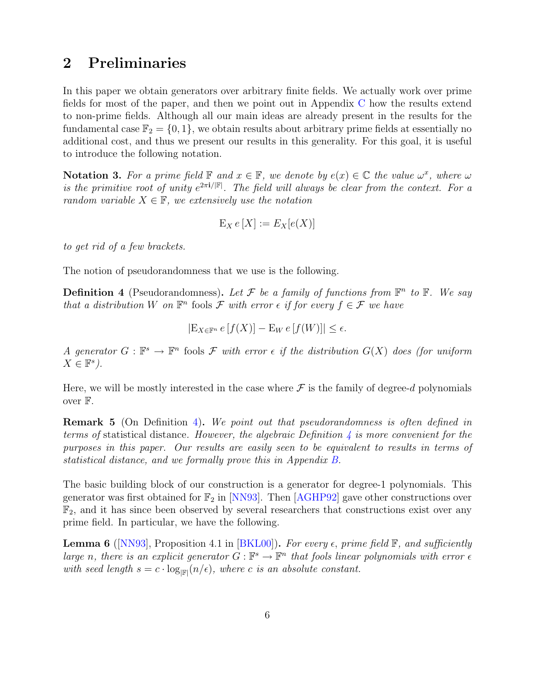### <span id="page-6-2"></span>2 Preliminaries

In this paper we obtain generators over arbitrary finite fields. We actually work over prime fields for most of the paper, and then we point out in Appendix [C](#page-29-0) how the results extend to non-prime fields. Although all our main ideas are already present in the results for the fundamental case  $\mathbb{F}_2 = \{0, 1\}$ , we obtain results about arbitrary prime fields at essentially no additional cost, and thus we present our results in this generality. For this goal, it is useful to introduce the following notation.

**Notation 3.** For a prime field  $\mathbb{F}$  and  $x \in \mathbb{F}$ , we denote by  $e(x) \in \mathbb{C}$  the value  $\omega^x$ , where  $\omega$ is the primitive root of unity  $e^{2\pi i/|\mathbb{F}|}$ . The field will always be clear from the context. For a random variable  $X \in \mathbb{F}$ , we extensively use the notation

$$
E_X e[X] := E_X[e(X)]
$$

to get rid of a few brackets.

The notion of pseudorandomness that we use is the following.

<span id="page-6-0"></span>**Definition 4** (Pseudorandomness). Let F be a family of functions from  $\mathbb{F}^n$  to  $\mathbb{F}$ . We say that a distribution W on  $\mathbb{F}^n$  fools F with error  $\epsilon$  if for every  $f \in \mathcal{F}$  we have

$$
|\mathcal{E}_{X \in \mathbb{F}^n} e[f(X)] - \mathcal{E}_W e[f(W)]| \le \epsilon.
$$

A generator  $G : \mathbb{F}^s \to \mathbb{F}^n$  fools F with error  $\epsilon$  if the distribution  $G(X)$  does (for uniform  $X \in \mathbb{F}^s$ ).

Here, we will be mostly interested in the case where  $\mathcal F$  is the family of degree-d polynomials over F.

Remark 5 (On Definition [4\)](#page-6-0). We point out that pseudorandomness is often defined in terms of statistical distance. However, the algebraic Definition  $\lambda$  is more convenient for the purposes in this paper. Our results are easily seen to be equivalent to results in terms of statistical distance, and we formally prove this in Appendix [B.](#page-28-0)

The basic building block of our construction is a generator for degree-1 polynomials. This generator was first obtained for  $\mathbb{F}_2$  in [\[NN93\]](#page-24-0). Then [\[AGHP92\]](#page-23-1) gave other constructions over  $\mathbb{F}_2$ , and it has since been observed by several researchers that constructions exist over any prime field. In particular, we have the following.

<span id="page-6-1"></span>**Lemma 6** ([\[NN93\]](#page-24-0), Proposition 4.1 in [\[BKL00\]](#page-23-10)). For every  $\epsilon$ , prime field  $\mathbb{F}$ , and sufficiently large n, there is an explicit generator  $G : \mathbb{F}^s \to \mathbb{F}^n$  that fools linear polynomials with error  $\epsilon$ with seed length  $s = c \cdot log_{\vert \mathbb{F} \vert} (n/\epsilon)$ , where c is an absolute constant.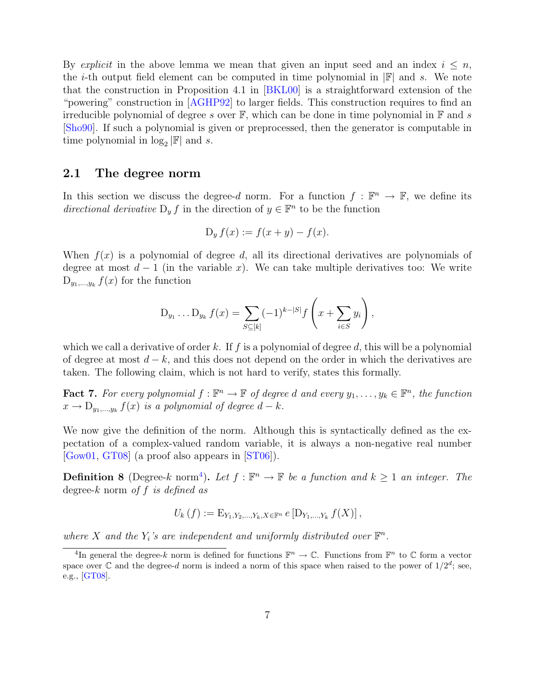<span id="page-7-2"></span>By explicit in the above lemma we mean that given an input seed and an index  $i \leq n$ , the *i*-th output field element can be computed in time polynomial in  $\mathbb{F}$  and *s*. We note that the construction in Proposition 4.1 in [\[BKL00\]](#page-23-10) is a straightforward extension of the "powering" construction in [\[AGHP92\]](#page-23-1) to larger fields. This construction requires to find an irreducible polynomial of degree s over  $\mathbb{F}$ , which can be done in time polynomial in  $\mathbb{F}$  and s [\[Sho90\]](#page-24-10). If such a polynomial is given or preprocessed, then the generator is computable in time polynomial in  $\log_2 |\mathbb{F}|$  and s.

#### <span id="page-7-1"></span>2.1 The degree norm

In this section we discuss the degree-d norm. For a function  $f : \mathbb{F}^n \to \mathbb{F}$ , we define its directional derivative  $D_y f$  in the direction of  $y \in \mathbb{F}^n$  to be the function

$$
D_y f(x) := f(x + y) - f(x).
$$

When  $f(x)$  is a polynomial of degree d, all its directional derivatives are polynomials of degree at most  $d-1$  (in the variable x). We can take multiple derivatives too: We write  $D_{y_1,\ldots,y_k} f(x)$  for the function

$$
D_{y_1} \dots D_{y_k} f(x) = \sum_{S \subseteq [k]} (-1)^{k-|S|} f\left(x + \sum_{i \in S} y_i\right),
$$

which we call a derivative of order k. If f is a polynomial of degree d, this will be a polynomial of degree at most  $d - k$ , and this does not depend on the order in which the derivatives are taken. The following claim, which is not hard to verify, states this formally.

**Fact 7.** For every polynomial  $f : \mathbb{F}^n \to \mathbb{F}$  of degree d and every  $y_1, \ldots, y_k \in \mathbb{F}^n$ , the function  $x \to D_{y_1,\dots,y_k} f(x)$  is a polynomial of degree  $d-k$ .

We now give the definition of the norm. Although this is syntactically defined as the expectation of a complex-valued random variable, it is always a non-negative real number [\[Gow01,](#page-23-7) [GT08\]](#page-23-5) (a proof also appears in [\[ST06\]](#page-24-5)).

**Definition 8** (Degree-k norm<sup>[4](#page-7-0)</sup>). Let  $f : \mathbb{F}^n \to \mathbb{F}$  be a function and  $k \geq 1$  an integer. The degree-k norm of  $f$  is defined as

$$
U_{k}(f) := \mathrm{E}_{Y_1,Y_2,\ldots,Y_k,X \in \mathbb{F}^n} e \left[ \mathrm{D}_{Y_1,\ldots,Y_k} f(X) \right],
$$

where X and the  $Y_i$ 's are independent and uniformly distributed over  $\mathbb{F}^n$ .

<span id="page-7-0"></span><sup>&</sup>lt;sup>4</sup>In general the degree-k norm is defined for functions  $\mathbb{F}^n \to \mathbb{C}$ . Functions from  $\mathbb{F}^n$  to  $\mathbb{C}$  form a vector space over  $\mathbb C$  and the degree-d norm is indeed a norm of this space when raised to the power of  $1/2^d$ ; see, e.g., [\[GT08\]](#page-23-5).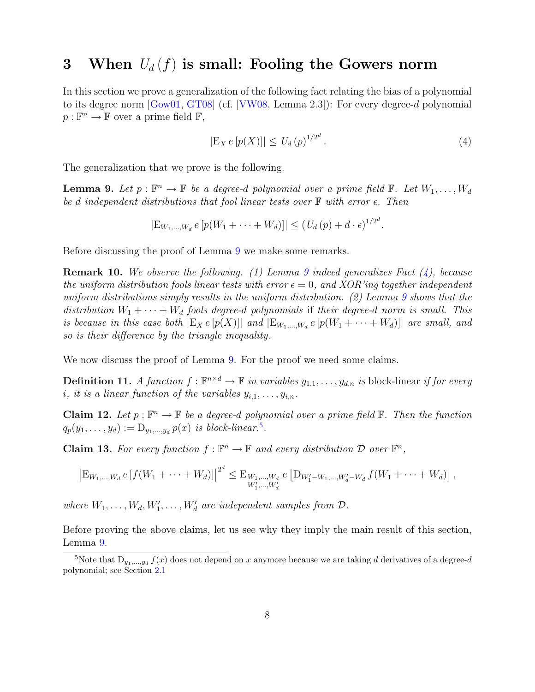## <span id="page-8-6"></span><span id="page-8-0"></span>3 When  $U_d(f)$  is small: Fooling the Gowers norm

In this section we prove a generalization of the following fact relating the bias of a polynomial to its degree norm [\[Gow01,](#page-23-7) [GT08\]](#page-23-5) (cf. [\[VW08,](#page-24-1) Lemma 2.3]): For every degree-d polynomial  $p: \mathbb{F}^n \to \mathbb{F}$  over a prime field  $\mathbb{F}$ ,

<span id="page-8-2"></span>
$$
|\mathcal{E}_X \, e \, [p(X)]| \le \, U_d \, (p)^{1/2^d} \,. \tag{4}
$$

The generalization that we prove is the following.

<span id="page-8-1"></span>**Lemma 9.** Let  $p : \mathbb{F}^n \to \mathbb{F}$  be a degree-d polynomial over a prime field  $\mathbb{F}$ . Let  $W_1, \ldots, W_d$ be d independent distributions that fool linear tests over  $\mathbb F$  with error  $\epsilon$ . Then

$$
|\mathcal{E}_{W_1,\dots,W_d} e[p(W_1 + \dots + W_d)]| \le (U_d(p) + d \cdot \epsilon)^{1/2^d}.
$$

Before discussing the proof of Lemma [9](#page-8-1) we make some remarks.

**Remark 10.** We observe the following. (1) Lemma [9](#page-8-1) indeed generalizes Fact  $(4)$ , because the uniform distribution fools linear tests with error  $\epsilon = 0$ , and XOR'ing together independent uniform distributions simply results in the uniform distribution.  $(2)$  Lemma [9](#page-8-1) shows that the distribution  $W_1 + \cdots + W_d$  fools degree-d polynomials if their degree-d norm is small. This is because in this case both  $|E_X e[p(X)]|$  and  $|E_{W_1,...,W_d} e[p(W_1 + \cdots + W_d)]|$  are small, and so is their difference by the triangle inequality.

We now discuss the proof of Lemma [9.](#page-8-1) For the proof we need some claims.

**Definition 11.** A function  $f : \mathbb{F}^{n \times d} \to \mathbb{F}$  in variables  $y_{1,1}, \ldots, y_{d,n}$  is block-linear if for every i, it is a linear function of the variables  $y_{i,1}, \ldots, y_{i,n}$ .

<span id="page-8-4"></span>**Claim 12.** Let  $p : \mathbb{F}^n \to \mathbb{F}$  be a degree-d polynomial over a prime field  $\mathbb{F}$ . Then the function  $q_p(y_1,\ldots,y_d) := \mathcal{D}_{y_1,\ldots,y_d} p(x)$  is block-linear.<sup>[5](#page-8-3)</sup>.

<span id="page-8-5"></span>**Claim 13.** For every function  $f : \mathbb{F}^n \to \mathbb{F}$  and every distribution  $\mathcal{D}$  over  $\mathbb{F}^n$ ,

$$
\left|\mathcal{E}_{W_1,\ldots,W_d} e\left[f(W_1+\cdots+W_d)\right]\right|^{2^d} \leq \mathcal{E}_{W_1,\ldots,W_d} e\left[\mathcal{D}_{W_1'-W_1,\ldots,W_d'-W_d} f(W_1+\cdots+W_d)\right],
$$

where  $W_1, \ldots, W_d, W'_1, \ldots, W'_d$  are independent samples from  $\mathcal{D}$ .

Before proving the above claims, let us see why they imply the main result of this section, Lemma [9.](#page-8-1)

<span id="page-8-3"></span><sup>&</sup>lt;sup>5</sup>Note that  $D_{y_1,...,y_d} f(x)$  does not depend on x anymore because we are taking d derivatives of a degree-d polynomial; see Section [2.1](#page-7-1)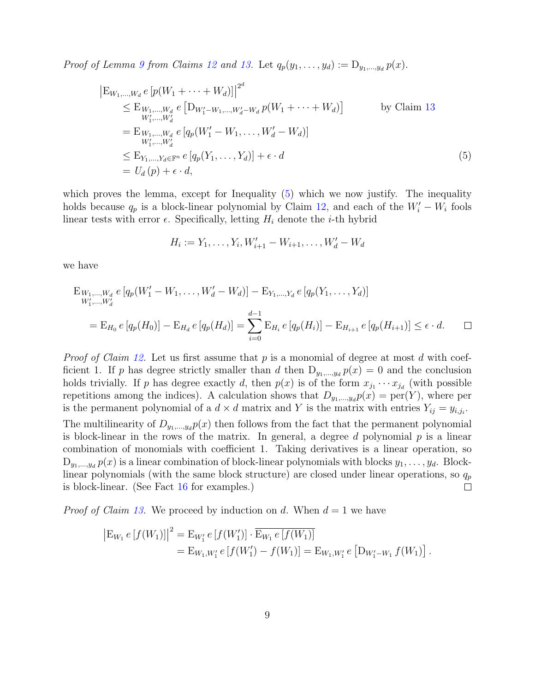Proof of Lemma [9](#page-8-1) from Claims [12](#page-8-4) and [13.](#page-8-5) Let  $q_p(y_1, \ldots, y_d) := D_{y_1, \ldots, y_d} p(x)$ .

$$
\begin{aligned}\n\left[\mathbf{E}_{W_1,\dots,W_d} e \left[ p(W_1 + \dots + W_d) \right] \right]^{2^d} \\
&\leq \mathbf{E}_{W_1,\dots,W_d} e \left[ \mathbf{D}_{W'_1-W_1,\dots,W'_d-W_d} p(W_1 + \dots + W_d) \right] \qquad \text{by Claim 13} \\
&= \mathbf{E}_{W_1,\dots,W_d} e \left[ q_p(W'_1 - W_1, \dots, W'_d - W_d) \right] \\
&\leq \mathbf{E}_{Y_1,\dots,Y_d \in \mathbb{F}^n} e \left[ q_p(Y_1,\dots,Y_d) \right] + \epsilon \cdot d \\
&= U_d(p) + \epsilon \cdot d,\n\end{aligned} \tag{5}
$$

which proves the lemma, except for Inequality [\(5\)](#page-9-0) which we now justify. The inequality holds because  $q_p$  is a block-linear polynomial by Claim [12,](#page-8-4) and each of the  $W_i' - W_i$  fools linear tests with error  $\epsilon$ . Specifically, letting  $H_i$  denote the *i*-th hybrid

<span id="page-9-0"></span>
$$
H_i := Y_1, \dots, Y_i, W'_{i+1} - W_{i+1}, \dots, W'_d - W_d
$$

we have

$$
E_{W_1,...,W_d} e [q_p(W'_1 - W_1,..., W'_d - W_d)] - E_{Y_1,...,Y_d} e [q_p(Y_1,..., Y_d)]
$$
  
\n
$$
= E_{H_0} e [q_p(H_0)] - E_{H_d} e [q_p(H_d)] = \sum_{i=0}^{d-1} E_{H_i} e [q_p(H_i)] - E_{H_{i+1}} e [q_p(H_{i+1})] \le \epsilon \cdot d.
$$

*Proof of Claim [12.](#page-8-4)* Let us first assume that p is a monomial of degree at most d with coefficient 1. If p has degree strictly smaller than d then  $D_{y_1,...,y_d} p(x) = 0$  and the conclusion holds trivially. If p has degree exactly d, then  $p(x)$  is of the form  $x_{j_1} \cdots x_{j_d}$  (with possible repetitions among the indices). A calculation shows that  $D_{y_1,...,y_d}p(x) = \text{per}(Y)$ , where per is the permanent polynomial of a  $d \times d$  matrix and Y is the matrix with entries  $Y_{ij} = y_{i,j_i}$ .

The multilinearity of  $D_{y_1,...,y_d}p(x)$  then follows from the fact that the permanent polynomial is block-linear in the rows of the matrix. In general, a degree d polynomial  $p$  is a linear combination of monomials with coefficient 1. Taking derivatives is a linear operation, so  $D_{y_1,...,y_d} p(x)$  is a linear combination of block-linear polynomials with blocks  $y_1,..., y_d$ . Blocklinear polynomials (with the same block structure) are closed under linear operations, so  $q_p$ is block-linear. (See Fact [16](#page-10-1) for examples.)  $\Box$ 

*Proof of Claim [13.](#page-8-5)* We proceed by induction on d. When  $d = 1$  we have

$$
\begin{aligned} \left| \mathcal{E}_{W_1} e[f(W_1)] \right|^2 &= \mathcal{E}_{W_1'} e[f(W_1')] \cdot \overline{\mathcal{E}_{W_1} e[f(W_1)]} \\ &= \mathcal{E}_{W_1, W_1'} e[f(W_1') - f(W_1)] = \mathcal{E}_{W_1, W_1'} e[D_{W_1' - W_1} f(W_1)]. \end{aligned}
$$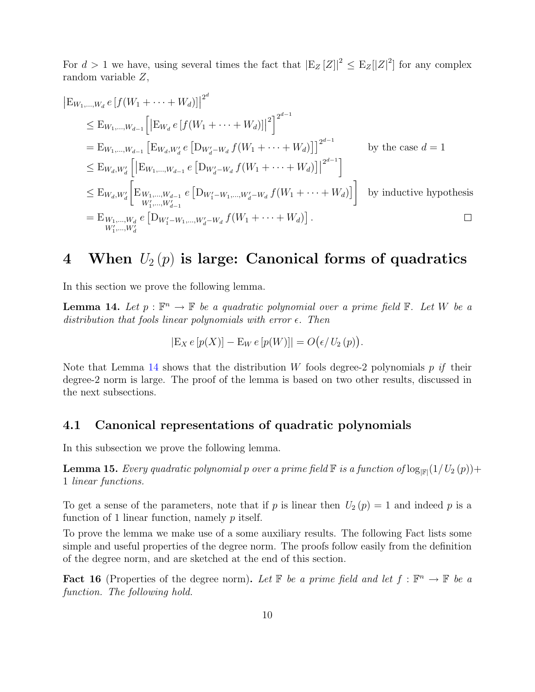For  $d > 1$  we have, using several times the fact that  $\left| \mathrm{E}_{Z} [Z] \right|^2 \leq \mathrm{E}_{Z} [|Z|^2]$  for any complex random variable Z,

$$
|\mathbf{E}_{W_1,\dots,W_d} e [f(W_1 + \dots + W_d)]|^{2^d}
$$
  
\n
$$
\leq \mathbf{E}_{W_1,\dots,W_{d-1}} [|\mathbf{E}_{W_d} e [f(W_1 + \dots + W_d)]|^{2}]^{2^{d-1}}
$$
  
\n
$$
= \mathbf{E}_{W_1,\dots,W_{d-1}} [\mathbf{E}_{W_d,W_d'} e [D_{W_d'-W_d} f(W_1 + \dots + W_d)]]^{2^{d-1}}
$$
 by the case  $d = 1$   
\n
$$
\leq \mathbf{E}_{W_d,W_d'} [|\mathbf{E}_{W_1,\dots,W_{d-1}} e [D_{W_d'-W_d} f(W_1 + \dots + W_d)]|^{2^{d-1}}]
$$
  
\n
$$
\leq \mathbf{E}_{W_d,W_d'} [E_{W_1,\dots,W_{d-1}} e [D_{W_1'-W_1,\dots,W_d'-W_d} f(W_1 + \dots + W_d)]]
$$
 by inductive hypothesis  
\n
$$
= \mathbf{E}_{W_1,\dots,W_d} e [D_{W_1'-W_1,\dots,W_d'-W_d} f(W_1 + \dots + W_d)].
$$

### <span id="page-10-0"></span>4 When  $U_2(p)$  is large: Canonical forms of quadratics

In this section we prove the following lemma.

<span id="page-10-2"></span>**Lemma 14.** Let  $p : \mathbb{F}^n \to \mathbb{F}$  be a quadratic polynomial over a prime field  $\mathbb{F}$ . Let W be a distribution that fools linear polynomials with error  $\epsilon$ . Then

$$
|\mathcal{E}_X e[p(X)] - \mathcal{E}_W e[p(W)]| = O(\epsilon / U_2(p)).
$$

Note that Lemma [14](#page-10-2) shows that the distribution W fools degree-2 polynomials  $p$  if their degree-2 norm is large. The proof of the lemma is based on two other results, discussed in the next subsections.

#### 4.1 Canonical representations of quadratic polynomials

In this subsection we prove the following lemma.

<span id="page-10-3"></span>**Lemma 15.** Every quadratic polynomial p over a prime field  $\mathbb F$  is a function of  $\log_{|\mathbb F|}(1/U_2(p))+$ 1 linear functions.

To get a sense of the parameters, note that if p is linear then  $U_2(p) = 1$  and indeed p is a function of 1 linear function, namely  $p$  itself.

To prove the lemma we make use of a some auxiliary results. The following Fact lists some simple and useful properties of the degree norm. The proofs follow easily from the definition of the degree norm, and are sketched at the end of this section.

<span id="page-10-1"></span>**Fact 16** (Properties of the degree norm). Let  $\mathbb{F}$  be a prime field and let  $f : \mathbb{F}^n \to \mathbb{F}$  be a function. The following hold.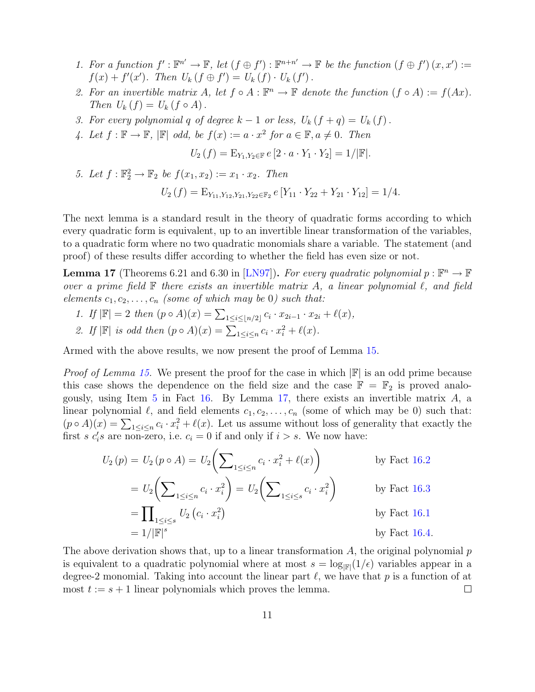- <span id="page-11-6"></span><span id="page-11-4"></span>1. For a function  $f': \mathbb{F}^{n'} \to \mathbb{F}$ , let  $(f \oplus f') : \mathbb{F}^{n+n'} \to \mathbb{F}$  be the function  $(f \oplus f')(x, x') :=$  $f(x) + f'(x')$ . Then  $U_k(f \oplus f') = U_k(f) \cdot U_k(f')$ .
- <span id="page-11-2"></span>2. For an invertible matrix A, let  $f \circ A : \mathbb{F}^n \to \mathbb{F}$  denote the function  $(f \circ A) := f(Ax)$ . Then  $U_k(f) = U_k(f \circ A)$ .
- <span id="page-11-3"></span>3. For every polynomial q of degree  $k-1$  or less,  $U_k(f+q) = U_k(f)$ .
- <span id="page-11-5"></span>4. Let  $f: \mathbb{F} \to \mathbb{F}$ ,  $|\mathbb{F}|$  odd, be  $f(x) := a \cdot x^2$  for  $a \in \mathbb{F}$ ,  $a \neq 0$ . Then

$$
U_2(f) = \mathcal{E}_{Y_1, Y_2 \in \mathbb{F}} e [2 \cdot a \cdot Y_1 \cdot Y_2] = 1/|\mathbb{F}|.
$$

<span id="page-11-0"></span>5. Let  $f : \mathbb{F}_2^2 \to \mathbb{F}_2$  be  $f(x_1, x_2) := x_1 \cdot x_2$ . Then  $U_2(f) = \mathbb{E}_{Y_{11}, Y_{12}, Y_{21}, Y_{22} \in \mathbb{F}_2} e [Y_{11} \cdot Y_{22} + Y_{21} \cdot Y_{12}] = 1/4.$ 

The next lemma is a standard result in the theory of quadratic forms according to which every quadratic form is equivalent, up to an invertible linear transformation of the variables, to a quadratic form where no two quadratic monomials share a variable. The statement (and proof) of these results differ according to whether the field has even size or not.

<span id="page-11-1"></span>**Lemma 17** (Theorems 6.21 and 6.30 in [\[LN97\]](#page-24-11)). For every quadratic polynomial  $p : \mathbb{F}^n \to \mathbb{F}$ over a prime field  $\mathbb F$  there exists an invertible matrix A, a linear polynomial  $\ell$ , and field elements  $c_1, c_2, \ldots, c_n$  (some of which may be 0) such that:

- 1. If  $|\mathbb{F}| = 2$  then  $(p \circ A)(x) = \sum_{1 \leq i \leq |n/2|} c_i \cdot x_{2i-1} \cdot x_{2i} + \ell(x)$ ,
- 2. If  $\mathbb{F}$  is odd then  $(p \circ A)(x) = \sum_{1 \leq i \leq n} c_i \cdot x_i^2 + \ell(x)$ .

Armed with the above results, we now present the proof of Lemma [15.](#page-10-3)

*Proof of Lemma [15.](#page-10-3)* We present the proof for the case in which  $\mathbb{F}$  is an odd prime because this case shows the dependence on the field size and the case  $\mathbb{F} = \mathbb{F}_2$  is proved analogously, using Item  $5$  in Fact  $16$ . By Lemma  $17$ , there exists an invertible matrix  $A$ , a linear polynomial  $\ell$ , and field elements  $c_1, c_2, \ldots, c_n$  (some of which may be 0) such that:  $(p \circ A)(x) = \sum_{1 \leq i \leq n} c_i \cdot x_i^2 + \ell(x)$ . Let us assume without loss of generality that exactly the first s  $c_i$ 's are non-zero, i.e.  $c_i = 0$  if and only if  $i > s$ . We now have:

$$
U_2(p) = U_2(p \circ A) = U_2 \left( \sum_{1 \le i \le n} c_i \cdot x_i^2 + \ell(x) \right) \qquad \text{by Fact 16.2}
$$
  
= 
$$
U_2 \left( \sum_{1 \le i \le n} c_i \cdot x_i^2 \right) = U_2 \left( \sum_{1 \le i \le s} c_i \cdot x_i^2 \right) \qquad \text{by Fact 16.3}
$$
  
= 
$$
\prod_{1 \le i \le s} U_2(c_i \cdot x_i^2) \qquad \text{by Fact 16.1}
$$
  
= 
$$
1/|\mathbb{F}|^s \qquad \text{by Fact 16.4}
$$

The above derivation shows that, up to a linear transformation  $A$ , the original polynomial  $p$ is equivalent to a quadratic polynomial where at most  $s = \log_{\vert \mathbb{F} \vert}(1/\epsilon)$  variables appear in a degree-2 monomial. Taking into account the linear part  $\ell$ , we have that p is a function of at most  $t := s + 1$  linear polynomials which proves the lemma.  $\Box$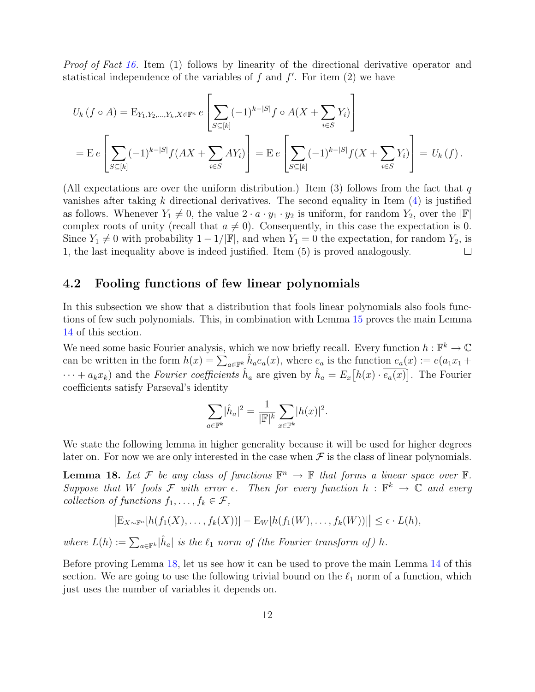Proof of Fact [16.](#page-10-1) Item (1) follows by linearity of the directional derivative operator and statistical independence of the variables of  $f$  and  $f'$ . For item  $(2)$  we have

$$
U_k(f \circ A) = \mathbb{E}_{Y_1, Y_2, \dots, Y_k, X \in \mathbb{F}^n} e\left[\sum_{S \subseteq [k]} (-1)^{k-|S|} f \circ A(X + \sum_{i \in S} Y_i)\right]
$$
  
=  $\mathbb{E} e\left[\sum_{S \subseteq [k]} (-1)^{k-|S|} f(AX + \sum_{i \in S} AY_i)\right] = \mathbb{E} e\left[\sum_{S \subseteq [k]} (-1)^{k-|S|} f(X + \sum_{i \in S} Y_i)\right] = U_k(f).$ 

(All expectations are over the uniform distribution.) Item (3) follows from the fact that  $q$ vanishes after taking k directional derivatives. The second equality in Item  $(4)$  is justified as follows. Whenever  $Y_1 \neq 0$ , the value  $2 \cdot a \cdot y_1 \cdot y_2$  is uniform, for random  $Y_2$ , over the  $\mathbb{F}$ complex roots of unity (recall that  $a \neq 0$ ). Consequently, in this case the expectation is 0. Since  $Y_1 \neq 0$  with probability  $1 - 1/|\mathbb{F}|$ , and when  $Y_1 = 0$  the expectation, for random  $Y_2$ , is 1, the last inequality above is indeed justified. Item (5) is proved analogously. П

#### <span id="page-12-1"></span>4.2 Fooling functions of few linear polynomials

In this subsection we show that a distribution that fools linear polynomials also fools functions of few such polynomials. This, in combination with Lemma [15](#page-10-3) proves the main Lemma [14](#page-10-2) of this section.

We need some basic Fourier analysis, which we now briefly recall. Every function  $h: \mathbb{F}^k \to \mathbb{C}$ can be written in the form  $h(x) = \sum_{a \in \mathbb{F}^k} \hat{h}_a e_a(x)$ , where  $e_a$  is the function  $e_a(x) := e(a_1x_1 +$  $\cdots + a_k x_k$  and the *Fourier coefficients*  $\hat{h}_a$  are given by  $\hat{h}_a = E_x[h(x) \cdot \overline{e_a(x)}]$ . The Fourier coefficients satisfy Parseval's identity

$$
\sum_{a \in \mathbb{F}^k} |\hat{h}_a|^2 = \frac{1}{|\mathbb{F}|^k} \sum_{x \in \mathbb{F}^k} |h(x)|^2.
$$

We state the following lemma in higher generality because it will be used for higher degrees later on. For now we are only interested in the case when  $\mathcal F$  is the class of linear polynomials.

<span id="page-12-0"></span>**Lemma 18.** Let F be any class of functions  $\mathbb{F}^n \to \mathbb{F}$  that forms a linear space over  $\mathbb{F}$ . Suppose that W fools F with error  $\epsilon$ . Then for every function  $h : \mathbb{F}^k \to \mathbb{C}$  and every collection of functions  $f_1, \ldots, f_k \in \mathcal{F}$ ,

$$
\left|\mathrm{E}_{X\sim\mathbb{F}^n}[h(f_1(X),\ldots,f_k(X))] - \mathrm{E}_W[h(f_1(W),\ldots,f_k(W))] \right| \leq \epsilon \cdot L(h),
$$

where  $L(h) := \sum_{a \in \mathbb{F}^k} |\hat{h}_a|$  is the  $\ell_1$  norm of (the Fourier transform of) h.

Before proving Lemma [18,](#page-12-0) let us see how it can be used to prove the main Lemma [14](#page-10-2) of this section. We are going to use the following trivial bound on the  $\ell_1$  norm of a function, which just uses the number of variables it depends on.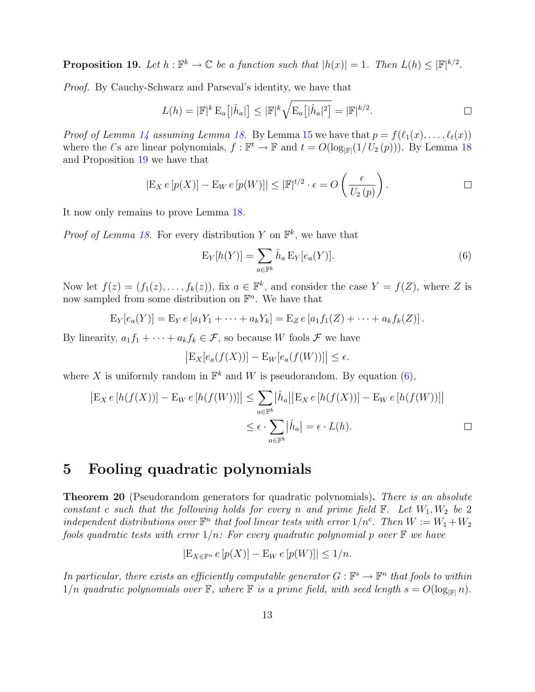<span id="page-13-1"></span>**Proposition 19.** Let  $h : \mathbb{F}^k \to \mathbb{C}$  be a function such that  $|h(x)| = 1$ . Then  $L(h) \leq |\mathbb{F}|^{k/2}$ .

Proof. By Cauchy-Schwarz and Parseval's identity, we have that

$$
L(h) = |\mathbb{F}|^k \mathcal{E}_a[|\hat{h}_a|] \leq |\mathbb{F}|^k \sqrt{\mathcal{E}_a[|\hat{h}_a|^2]} = |\mathbb{F}|^{k/2}.
$$

*Proof of Lemma [14](#page-10-2) assuming Lemma [18.](#page-12-0)* By Lemma [15](#page-10-3) we have that  $p = f(\ell_1(x), \ldots, \ell_t(x))$ where the  $\ell$ 's are linear polynomials,  $f : \mathbb{F}^t \to \mathbb{F}$  and  $t = O(\log_{|\mathbb{F}|}(1/U_2(p)))$ . By Lemma [18](#page-12-0) and Proposition [19](#page-13-1) we have that

$$
|\mathcal{E}_X e[p(X)] - \mathcal{E}_W e[p(W)]| \leq |\mathbb{F}|^{t/2} \cdot \epsilon = O\left(\frac{\epsilon}{U_2(p)}\right).
$$

It now only remains to prove Lemma [18.](#page-12-0)

*Proof of Lemma [18.](#page-12-0)* For every distribution Y on  $\mathbb{F}^k$ , we have that

<span id="page-13-2"></span>
$$
\mathcal{E}_Y[h(Y)] = \sum_{a \in \mathbb{F}^k} \hat{h}_a \, \mathcal{E}_Y[e_a(Y)].\tag{6}
$$

Now let  $f(z) = (f_1(z), \ldots, f_k(z))$ , fix  $a \in \mathbb{F}^k$ , and consider the case  $Y = f(Z)$ , where Z is now sampled from some distribution on  $\mathbb{F}^n$ . We have that

$$
E_Y[e_a(Y)] = E_Y e [a_1 Y_1 + \cdots + a_k Y_k] = E_Z e [a_1 f_1(Z) + \cdots + a_k f_k(Z)].
$$

By linearity,  $a_1f_1 + \cdots + a_kf_k \in \mathcal{F}$ , so because W fools  $\mathcal F$  we have

$$
\left| \mathcal{E}_X[e_a(f(X))] - \mathcal{E}_W[e_a(f(W))] \right| \leq \epsilon.
$$

where X is uniformly random in  $\mathbb{F}^k$  and W is pseudorandom. By equation [\(6\)](#page-13-2),

$$
\begin{aligned} \left| \mathcal{E}_X \, e \left[ h(f(X)) \right] - \mathcal{E}_W \, e \left[ h(f(W)) \right] \right| &\leq \sum_{a \in \mathbb{F}^k} \left| \hat{h}_a \right| \left| \mathcal{E}_X \, e \left[ h(f(X)) \right] - \mathcal{E}_W \, e \left[ h(f(W)) \right] \right| \\ &\leq \epsilon \cdot \sum_{a \in \mathbb{F}^k} \left| \hat{h}_a \right| = \epsilon \cdot L(h). \end{aligned} \tag{1}
$$

### <span id="page-13-0"></span>5 Fooling quadratic polynomials

<span id="page-13-3"></span>**Theorem 20** (Pseudorandom generators for quadratic polynomials). There is an absolute constant c such that the following holds for every n and prime field  $\mathbb{F}$ . Let  $W_1, W_2$  be 2 independent distributions over  $\mathbb{F}^n$  that fool linear tests with error  $1/n^c$ . Then  $W := W_1 + W_2$ fools quadratic tests with error  $1/n$ . For every quadratic polynomial p over  $\mathbb F$  we have

$$
|\mathcal{E}_{X \in \mathbb{F}^n} e[p(X)] - \mathcal{E}_W e[p(W)]| \le 1/n.
$$

In particular, there exists an efficiently computable generator  $G : \mathbb{F}^s \to \mathbb{F}^n$  that fools to within  $1/n$  quadratic polynomials over  $\mathbb F$ , where  $\mathbb F$  is a prime field, with seed length  $s = O(\log_{|\mathbb F|} n)$ .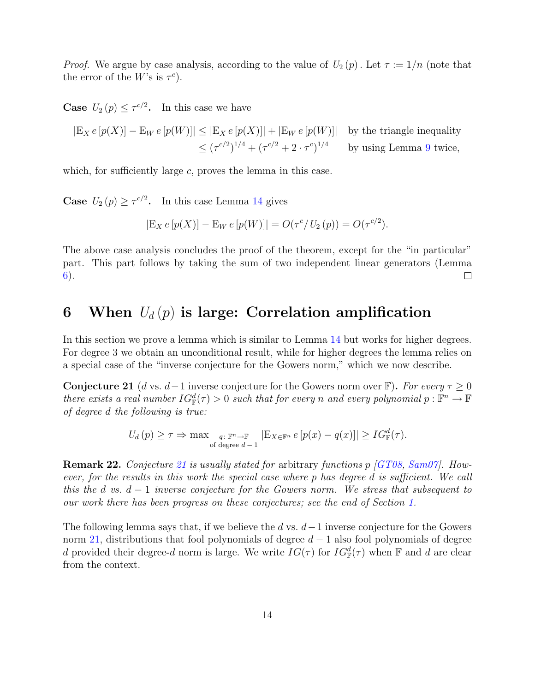<span id="page-14-2"></span>*Proof.* We argue by case analysis, according to the value of  $U_2(p)$ . Let  $\tau := 1/n$  (note that the error of the W's is  $\tau^c$ ).

**Case**  $U_2(p) \leq \tau^{c/2}$ . In this case we have

$$
|\mathcal{E}_X e[p(X)] - \mathcal{E}_W e[p(W)]| \le |\mathcal{E}_X e[p(X)]| + |\mathcal{E}_W e[p(W)]| \text{ by the triangle inequality}
$$
  

$$
\le (\tau^{c/2})^{1/4} + (\tau^{c/2} + 2 \cdot \tau^{c})^{1/4} \text{ by using Lemma 9 twice,}
$$

which, for sufficiently large  $c$ , proves the lemma in this case.

**Case**  $U_2(p) \ge \tau^{c/2}$ . In this case Lemma [14](#page-10-2) gives

$$
|\mathcal{E}_X e[p(X)] - \mathcal{E}_W e[p(W)]| = O(\tau^c / U_2(p)) = O(\tau^{c/2}).
$$

The above case analysis concludes the proof of the theorem, except for the "in particular" part. This part follows by taking the sum of two independent linear generators (Lemma [6\)](#page-6-1).  $\Box$ 

## <span id="page-14-1"></span>6 When  $U_d(p)$  is large: Correlation amplification

In this section we prove a lemma which is similar to Lemma [14](#page-10-2) but works for higher degrees. For degree 3 we obtain an unconditional result, while for higher degrees the lemma relies on a special case of the "inverse conjecture for the Gowers norm," which we now describe.

<span id="page-14-0"></span>**Conjecture 21** (d vs. d – 1 inverse conjecture for the Gowers norm over  $\mathbb{F}$ ). For every  $\tau \geq 0$ there exists a real number  $IG^d_{\mathbb{F}}(\tau) > 0$  such that for every n and every polynomial  $p : \mathbb{F}^n \to \mathbb{F}$ of degree d the following is true:

$$
U_d(p) \geq \tau \Rightarrow \max_{\substack{q:\ \mathbb{F}^n \to \mathbb{F} \\ \text{of degree } d-1}} |E_{X \in \mathbb{F}^n} e[p(x) - q(x)]| \geq IG_{\mathbb{F}}^d(\tau).
$$

**Remark 22.** Conjecture [21](#page-14-0) is usually stated for arbitrary functions  $p$  [\[GT08,](#page-23-5) [Sam07\]](#page-24-4). However, for the results in this work the special case where p has degree d is sufficient. We call this the d vs.  $d-1$  inverse conjecture for the Gowers norm. We stress that subsequent to our work there has been progress on these conjectures; see the end of Section [1.](#page-1-6)

The following lemma says that, if we believe the d vs.  $d-1$  inverse conjecture for the Gowers norm [21,](#page-14-0) distributions that fool polynomials of degree  $d-1$  also fool polynomials of degree d provided their degree-d norm is large. We write  $IG(\tau)$  for  $IG_{\mathbb{F}}^d(\tau)$  when  $\mathbb F$  and d are clear from the context.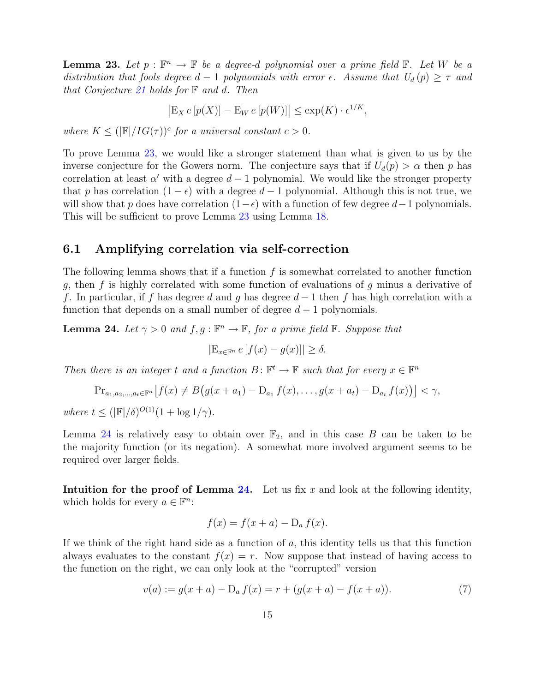<span id="page-15-1"></span>**Lemma 23.** Let  $p : \mathbb{F}^n \to \mathbb{F}$  be a degree-d polynomial over a prime field  $\mathbb{F}$ . Let W be a distribution that fools degree  $d-1$  polynomials with error  $\epsilon$ . Assume that  $U_d(p) \geq \tau$  and that Conjecture [21](#page-14-0) holds for  $\mathbb F$  and d. Then

 $|E_X e[p(X)] - E_W e[p(W)]| \le \exp(K) \cdot e^{1/K},$ 

where  $K \leq (|\mathbb{F}|/IG(\tau))^c$  for a universal constant  $c > 0$ .

To prove Lemma [23,](#page-15-1) we would like a stronger statement than what is given to us by the inverse conjecture for the Gowers norm. The conjecture says that if  $U_d(p) > \alpha$  then p has correlation at least  $\alpha'$  with a degree  $d-1$  polynomial. We would like the stronger property that p has correlation  $(1 - \epsilon)$  with a degree  $d - 1$  polynomial. Although this is not true, we will show that p does have correlation  $(1-\epsilon)$  with a function of few degree  $d-1$  polynomials. This will be sufficient to prove Lemma [23](#page-15-1) using Lemma [18.](#page-12-0)

#### 6.1 Amplifying correlation via self-correction

The following lemma shows that if a function  $f$  is somewhat correlated to another function g, then f is highly correlated with some function of evaluations of g minus a derivative of f. In particular, if f has degree d and g has degree  $d-1$  then f has high correlation with a function that depends on a small number of degree  $d-1$  polynomials.

<span id="page-15-0"></span>**Lemma 24.** Let  $\gamma > 0$  and  $f, g : \mathbb{F}^n \to \mathbb{F}$ , for a prime field  $\mathbb{F}$ . Suppose that

$$
|\mathcal{E}_{x \in \mathbb{F}^n} e[f(x) - g(x)]| \ge \delta.
$$

Then there is an integer t and a function  $B: \mathbb{F}^t \to \mathbb{F}$  such that for every  $x \in \mathbb{F}^n$ 

$$
\mathrm{Pr}_{a_1, a_2, ..., a_t \in \mathbb{F}^n} \left[ f(x) \neq B \big( g(x + a_1) - \mathrm{D}_{a_1} f(x), \dots, g(x + a_t) - \mathrm{D}_{a_t} f(x) \big) \right] < \gamma,
$$

where  $t \leq (|\mathbb{F}|/\delta)^{O(1)}(1 + \log 1/\gamma).$ 

Lemma [24](#page-15-0) is relatively easy to obtain over  $\mathbb{F}_2$ , and in this case B can be taken to be the majority function (or its negation). A somewhat more involved argument seems to be required over larger fields.

Intuition for the proof of Lemma  $24$ . Let us fix x and look at the following identity, which holds for every  $a \in \mathbb{F}^n$ :

$$
f(x) = f(x+a) - D_a f(x).
$$

If we think of the right hand side as a function of  $a$ , this identity tells us that this function always evaluates to the constant  $f(x) = r$ . Now suppose that instead of having access to the function on the right, we can only look at the "corrupted" version

<span id="page-15-2"></span>
$$
v(a) := g(x+a) - D_a f(x) = r + (g(x+a) - f(x+a)).
$$
\n(7)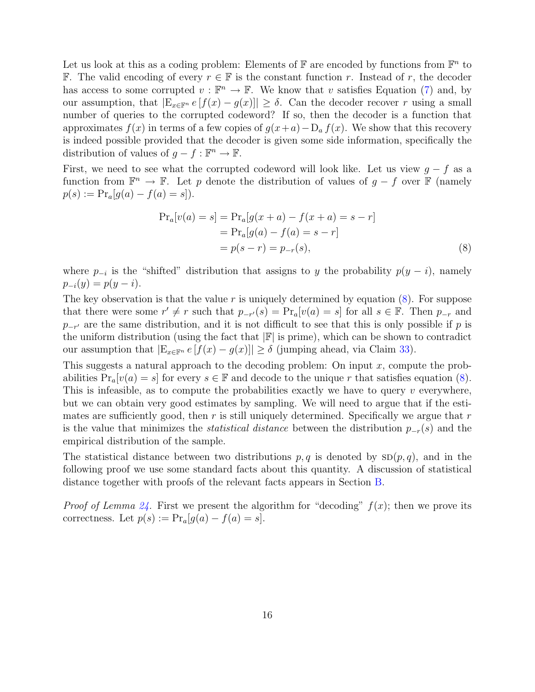Let us look at this as a coding problem: Elements of  $\mathbb F$  are encoded by functions from  $\mathbb F^n$  to **F.** The valid encoding of every  $r \in \mathbb{F}$  is the constant function r. Instead of r, the decoder has access to some corrupted  $v : \mathbb{F}^n \to \mathbb{F}$ . We know that v satisfies Equation [\(7\)](#page-15-2) and, by our assumption, that  $|E_{x\in\mathbb{F}^n} e[f(x)-g(x)]| \geq \delta$ . Can the decoder recover r using a small number of queries to the corrupted codeword? If so, then the decoder is a function that approximates  $f(x)$  in terms of a few copies of  $g(x+a)-D_a f(x)$ . We show that this recovery is indeed possible provided that the decoder is given some side information, specifically the distribution of values of  $g - f : \mathbb{F}^n \to \mathbb{F}$ .

First, we need to see what the corrupted codeword will look like. Let us view  $q - f$  as a function from  $\mathbb{F}^n \to \mathbb{F}$ . Let p denote the distribution of values of  $g - f$  over  $\mathbb{F}$  (namely  $p(s) := Pr_a[g(a) - f(a) = s]).$ 

<span id="page-16-0"></span>
$$
\Pr_a[v(a) = s] = \Pr_a[g(x+a) - f(x+a) = s - r] \n= \Pr_a[g(a) - f(a) = s - r] \n= p(s - r) = p_{-r}(s),
$$
\n(8)

where  $p_{-i}$  is the "shifted" distribution that assigns to y the probability  $p(y - i)$ , namely  $p_{-i}(y) = p(y - i).$ 

The key observation is that the value  $r$  is uniquely determined by equation  $(8)$ . For suppose that there were some  $r' \neq r$  such that  $p_{-r'}(s) = \Pr_a[v(a) = s]$  for all  $s \in \mathbb{F}$ . Then  $p_{-r}$  and  $p_{-r'}$  are the same distribution, and it is not difficult to see that this is only possible if p is the uniform distribution (using the fact that  $|\mathbb{F}|$  is prime), which can be shown to contradict our assumption that  $|E_{x\in\mathbb{F}^n} e[f(x)-g(x)]| \geq \delta$  (jumping ahead, via Claim [33\)](#page-28-1).

This suggests a natural approach to the decoding problem: On input  $x$ , compute the probabilities  $Pr_a[v(a) = s]$  for every  $s \in \mathbb{F}$  and decode to the unique r that satisfies equation [\(8\)](#page-16-0). This is infeasible, as to compute the probabilities exactly we have to query  $v$  everywhere, but we can obtain very good estimates by sampling. We will need to argue that if the estimates are sufficiently good, then  $r$  is still uniquely determined. Specifically we argue that  $r$ is the value that minimizes the *statistical distance* between the distribution  $p_{-r}(s)$  and the empirical distribution of the sample.

The statistical distance between two distributions  $p, q$  is denoted by  $\text{SD}(p, q)$ , and in the following proof we use some standard facts about this quantity. A discussion of statistical distance together with proofs of the relevant facts appears in Section [B.](#page-28-0)

*Proof of Lemma [24.](#page-15-0)* First we present the algorithm for "decoding"  $f(x)$ ; then we prove its correctness. Let  $p(s) := \Pr_a[g(a) - f(a) = s].$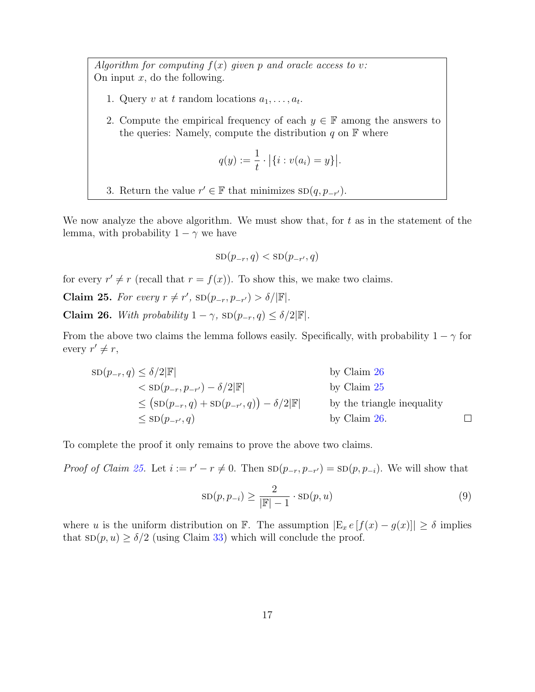Algorithm for computing  $f(x)$  given p and oracle access to v: On input  $x$ , do the following.

- 1. Query v at t random locations  $a_1, \ldots, a_t$ .
- 2. Compute the empirical frequency of each  $y \in \mathbb{F}$  among the answers to the queries: Namely, compute the distribution  $q$  on  $\mathbb F$  where

$$
q(y) := \frac{1}{t} \cdot |\{i : v(a_i) = y\}|.
$$

3. Return the value  $r' \in \mathbb{F}$  that minimizes  $SD(q, p_{-r'})$ .

We now analyze the above algorithm. We must show that, for  $t$  as in the statement of the lemma, with probability  $1 - \gamma$  we have

$$
SD(p_{-r}, q) < SD(p_{-r'}, q)
$$

for every  $r' \neq r$  (recall that  $r = f(x)$ ). To show this, we make two claims.

<span id="page-17-1"></span>Claim 25. For every  $r \neq r'$ ,  $SD(p_{-r}, p_{-r'}) > \delta/|\mathbb{F}|$ .

<span id="page-17-0"></span>Claim 26. With probability  $1 - \gamma$ ,  $SD(p_{-r}, q) \leq \delta/2|\mathbb{F}|$ .

From the above two claims the lemma follows easily. Specifically, with probability  $1 - \gamma$  for every  $r' \neq r$ ,

$$
\begin{aligned}\n\text{SD}(p_{-r}, q) &\leq \delta/2|\mathbb{F}| & \text{by Claim 26} \\
&< \text{SD}(p_{-r}, p_{-r'}) - \delta/2|\mathbb{F}| & \text{by Claim 25} \\
&\leq (\text{SD}(p_{-r}, q) + \text{SD}(p_{-r'}, q)) - \delta/2|\mathbb{F}| & \text{by the triangle inequality} \\
&\leq \text{SD}(p_{-r'}, q) & \text{by Claim 26.}\n\end{aligned}
$$

To complete the proof it only remains to prove the above two claims.

*Proof of Claim [25.](#page-17-1)* Let  $i := r' - r \neq 0$ . Then  $SD(p_{-r}, p_{-r'}) = SD(p, p_{-i})$ . We will show that

<span id="page-17-2"></span>
$$
SD(p, p_{-i}) \ge \frac{2}{|\mathbb{F}|-1} \cdot SD(p, u)
$$
\n(9)

where u is the uniform distribution on F. The assumption  $|E_x e[f(x) - g(x)]| \ge \delta$  implies that  $\text{SD}(p, u) \ge \delta/2$  (using Claim [33\)](#page-28-1) which will conclude the proof.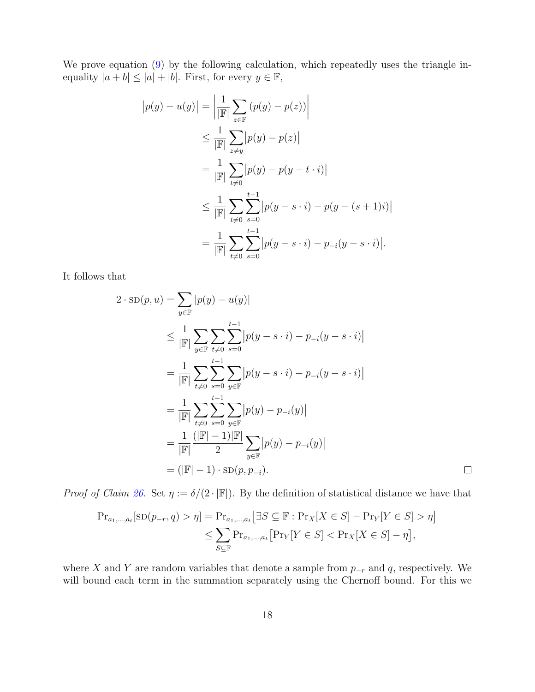We prove equation [\(9\)](#page-17-2) by the following calculation, which repeatedly uses the triangle inequality  $|a + b| \leq |a| + |b|$ . First, for every  $y \in \mathbb{F}$ ,

$$
|p(y) - u(y)| = \left| \frac{1}{|\mathbb{F}|} \sum_{z \in \mathbb{F}} (p(y) - p(z)) \right|
$$
  
\n
$$
\leq \frac{1}{|\mathbb{F}|} \sum_{z \neq y} |p(y) - p(z)|
$$
  
\n
$$
= \frac{1}{|\mathbb{F}|} \sum_{t \neq 0} \sum_{s=0}^{t-1} |p(y) - p(y - t \cdot i)|
$$
  
\n
$$
\leq \frac{1}{|\mathbb{F}|} \sum_{t \neq 0} \sum_{s=0}^{t-1} |p(y - s \cdot i) - p(y - (s + 1)i)|
$$
  
\n
$$
= \frac{1}{|\mathbb{F}|} \sum_{t \neq 0} \sum_{s=0}^{t-1} |p(y - s \cdot i) - p_{-i}(y - s \cdot i)|.
$$

It follows that

$$
2 \cdot SD(p, u) = \sum_{y \in \mathbb{F}} |p(y) - u(y)|
$$
  
\n
$$
\leq \frac{1}{|\mathbb{F}|} \sum_{y \in \mathbb{F}} \sum_{t \neq 0} \sum_{s=0}^{t-1} |p(y - s \cdot i) - p_{-i}(y - s \cdot i)|
$$
  
\n
$$
= \frac{1}{|\mathbb{F}|} \sum_{t \neq 0} \sum_{s=0}^{t-1} \sum_{y \in \mathbb{F}} |p(y - s \cdot i) - p_{-i}(y - s \cdot i)|
$$
  
\n
$$
= \frac{1}{|\mathbb{F}|} \sum_{t \neq 0} \sum_{s=0}^{t-1} \sum_{y \in \mathbb{F}} |p(y) - p_{-i}(y)|
$$
  
\n
$$
= \frac{1}{|\mathbb{F}|} \frac{(|\mathbb{F}| - 1)|\mathbb{F}|}{2} \sum_{y \in \mathbb{F}} |p(y) - p_{-i}(y)|
$$
  
\n
$$
= (|\mathbb{F}| - 1) \cdot SD(p, p_{-i}).
$$

*Proof of Claim [26.](#page-17-0)* Set  $\eta := \delta/(2 \cdot |\mathbb{F}|)$ . By the definition of statistical distance we have that

$$
\begin{aligned} \Pr_{a_1,\ldots,a_t}[\text{SD}(p_{-r},q) > \eta] &= \Pr_{a_1,\ldots,a_t}[\exists S \subseteq \mathbb{F} : \Pr_X[X \in S] - \Pr_Y[Y \in S] > \eta] \\ &\le \sum_{S \subseteq \mathbb{F}} \Pr_{a_1,\ldots,a_t}[\Pr_Y[Y \in S] < \Pr_X[X \in S] - \eta], \end{aligned}
$$

where X and Y are random variables that denote a sample from  $p_{-r}$  and q, respectively. We will bound each term in the summation separately using the Chernoff bound. For this we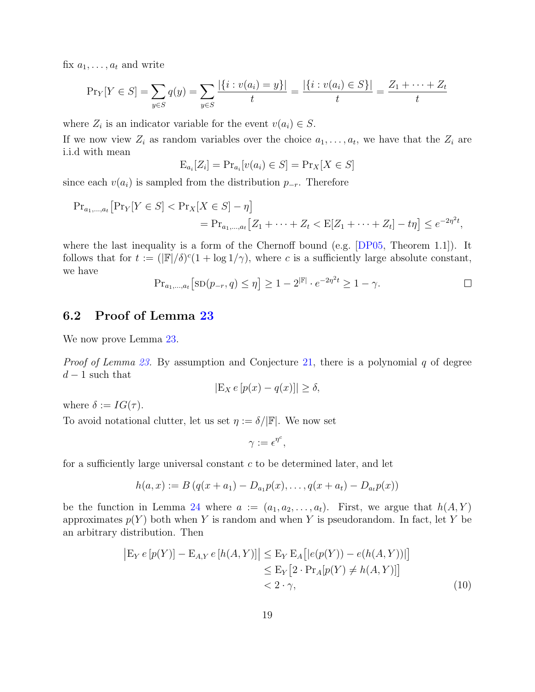<span id="page-19-1"></span>fix  $a_1, \ldots, a_t$  and write

$$
\Pr_Y[Y \in S] = \sum_{y \in S} q(y) = \sum_{y \in S} \frac{|\{i : v(a_i) = y\}|}{t} = \frac{|\{i : v(a_i) \in S\}|}{t} = \frac{Z_1 + \dots + Z_t}{t}
$$

where  $Z_i$  is an indicator variable for the event  $v(a_i) \in S$ .

If we now view  $Z_i$  as random variables over the choice  $a_1, \ldots, a_t$ , we have that the  $Z_i$  are i.i.d with mean

$$
E_{a_i}[Z_i] = Pr_{a_i}[v(a_i) \in S] = Pr_X[X \in S]
$$

since each  $v(a_i)$  is sampled from the distribution  $p_{-r}$ . Therefore

$$
\begin{aligned} \Pr_{a_1,\dots,a_t} \big[ \Pr_Y[Y \in S] < \Pr_X[X \in S] - \eta \big] \\ &= \Pr_{a_1,\dots,a_t} \big[ Z_1 + \dots + Z_t < \mathbb{E}[Z_1 + \dots + Z_t] - t\eta \big] \le e^{-2\eta^2 t}, \end{aligned}
$$

where the last inequality is a form of the Chernoff bound (e.g. [\[DP05,](#page-23-11) Theorem 1.1]). It follows that for  $t := (|\mathbb{F}|/\delta)^c (1 + \log 1/\gamma)$ , where c is a sufficiently large absolute constant, we have

$$
\Pr_{a_1,\dots,a_t} [\text{SD}(p_{-r}, q) \le \eta] \ge 1 - 2^{|F|} \cdot e^{-2\eta^2 t} \ge 1 - \gamma.
$$

#### 6.2 Proof of Lemma [23](#page-15-1)

We now prove Lemma [23.](#page-15-1)

*Proof of Lemma [23.](#page-15-1)* By assumption and Conjecture [21,](#page-14-0) there is a polynomial q of degree  $d-1$  such that

$$
|\mathcal{E}_X \, e \, [p(x) - q(x)]| \ge \delta,
$$

where  $\delta := IG(\tau)$ .

To avoid notational clutter, let us set  $\eta := \delta / |\mathbb{F}|$ . We now set

<span id="page-19-0"></span>
$$
\gamma:=\epsilon^{\eta^c},
$$

for a sufficiently large universal constant c to be determined later, and let

$$
h(a,x) := B(q(x + a_1) - D_{a_1}p(x), \ldots, q(x + a_t) - D_{a_t}p(x))
$$

be the function in Lemma [24](#page-15-0) where  $a := (a_1, a_2, \ldots, a_t)$ . First, we argue that  $h(A, Y)$ approximates  $p(Y)$  both when Y is random and when Y is pseudorandom. In fact, let Y be an arbitrary distribution. Then

$$
\begin{aligned} \left| \mathcal{E}_Y \, e \, [p(Y)] - \mathcal{E}_{A,Y} \, e \, [h(A,Y)] \right| &\leq \mathcal{E}_Y \, \mathcal{E}_A \big[ |e(p(Y)) - e(h(A,Y))| \big] \\ &\leq \mathcal{E}_Y \big[ 2 \cdot \Pr_A [p(Y) \neq h(A,Y)] \big] \\ &< 2 \cdot \gamma, \end{aligned} \tag{10}
$$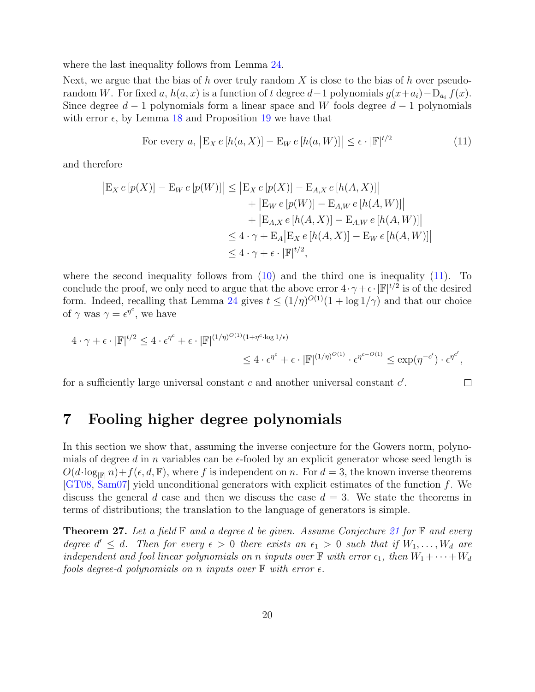<span id="page-20-3"></span>where the last inequality follows from Lemma [24.](#page-15-0)

Next, we argue that the bias of h over truly random X is close to the bias of h over pseudorandom W. For fixed a,  $h(a, x)$  is a function of t degree  $d-1$  polynomials  $g(x+a_i) - D_{a_i} f(x)$ . Since degree  $d-1$  polynomials form a linear space and W fools degree  $d-1$  polynomials with error  $\epsilon$ , by Lemma [18](#page-12-0) and Proposition [19](#page-13-1) we have that

<span id="page-20-1"></span>For every 
$$
a
$$
,  $|E_X e[h(a, X)] - E_W e[h(a, W)]| \le \epsilon \cdot |\mathbb{F}|^{t/2}$  (11)

and therefore

$$
|E_X e[p(X)] - E_W e[p(W)]| \le |E_X e[p(X)] - E_{A,X} e[h(A, X)]| + |E_W e[p(W)] - E_{A,W} e[h(A, W)]| + |E_{A,X} e[h(A, X)] - E_{A,W} e[h(A, W)]| \le 4 \cdot \gamma + E_A |E_X e[h(A, X)] - E_W e[h(A, W)]| \le 4 \cdot \gamma + \epsilon \cdot |F|^{t/2},
$$

where the second inequality follows from  $(10)$  and the third one is inequality  $(11)$ . To conclude the proof, we only need to argue that the above error  $4 \cdot \gamma + \epsilon \cdot |\mathbb{F}|^{t/2}$  is of the desired form. Indeed, recalling that Lemma [24](#page-15-0) gives  $t \leq (1/\eta)^{O(1)}(1 + \log 1/\gamma)$  and that our choice of  $\gamma$  was  $\gamma = \epsilon^{\eta^c}$ , we have

$$
4 \cdot \gamma + \epsilon \cdot |\mathbb{F}|^{t/2} \le 4 \cdot \epsilon^{\eta^c} + \epsilon \cdot |\mathbb{F}|^{(1/\eta)^{O(1)}(1+\eta^c \cdot \log 1/\epsilon)} \le 4 \cdot \epsilon^{\eta^c} + \epsilon \cdot |\mathbb{F}|^{(1/\eta)^{O(1)}} \cdot \epsilon^{\eta^{c-O(1)}} \le \exp(\eta^{-c'}) \cdot \epsilon^{\eta^{c'}},
$$

for a sufficiently large universal constant  $c$  and another universal constant  $c'$ .

#### $\Box$

## <span id="page-20-0"></span>7 Fooling higher degree polynomials

In this section we show that, assuming the inverse conjecture for the Gowers norm, polynomials of degree d in n variables can be  $\epsilon$ -fooled by an explicit generator whose seed length is  $O(d \cdot \log_{\mathbb{F}|} n) + f(\epsilon, d, \mathbb{F})$ , where f is independent on n. For  $d = 3$ , the known inverse theorems [\[GT08,](#page-23-5) [Sam07\]](#page-24-4) yield unconditional generators with explicit estimates of the function f. We discuss the general d case and then we discuss the case  $d = 3$ . We state the theorems in terms of distributions; the translation to the language of generators is simple.

<span id="page-20-2"></span>**Theorem 27.** Let a field  $\mathbb F$  and a degree d be given. Assume Conjecture [21](#page-14-0) for  $\mathbb F$  and every degree  $d' \leq d$ . Then for every  $\epsilon > 0$  there exists an  $\epsilon_1 > 0$  such that if  $W_1, \ldots, W_d$  are independent and fool linear polynomials on n inputs over  $\mathbb F$  with error  $\epsilon_1$ , then  $W_1 + \cdots + W_d$ fools degree-d polynomials on n inputs over  $\mathbb F$  with error  $\epsilon$ .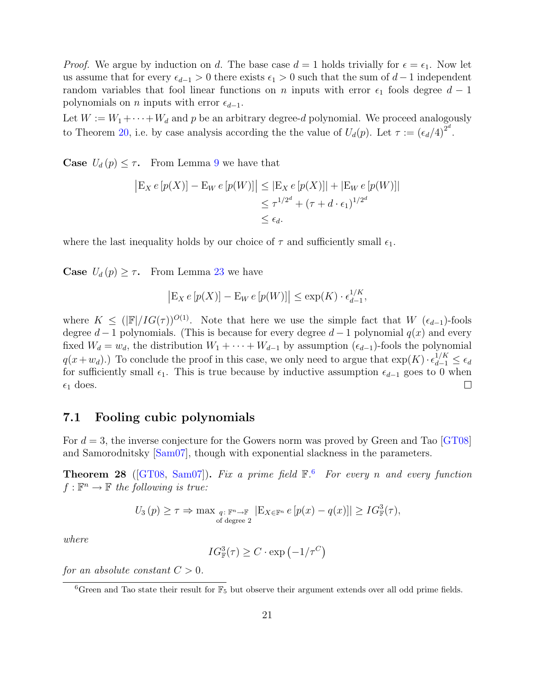<span id="page-21-2"></span>*Proof.* We argue by induction on d. The base case  $d = 1$  holds trivially for  $\epsilon = \epsilon_1$ . Now let us assume that for every  $\epsilon_{d-1} > 0$  there exists  $\epsilon_1 > 0$  such that the sum of  $d-1$  independent random variables that fool linear functions on n inputs with error  $\epsilon_1$  fools degree  $d-1$ polynomials on *n* inputs with error  $\epsilon_{d-1}$ .

Let  $W := W_1 + \cdots + W_d$  and p be an arbitrary degree-d polynomial. We proceed analogously to Theorem [20,](#page-13-3) i.e. by case analysis according the the value of  $U_d(p)$ . Let  $\tau := (\epsilon_d/4)^{2^d}$ .

**Case**  $U_d(p) \leq \tau$ . From Lemma [9](#page-8-1) we have that

$$
\begin{aligned} \left| \mathcal{E}_X \, e \, [p(X)] - \mathcal{E}_W \, e \, [p(W)] \right| &\leq \left| \mathcal{E}_X \, e \, [p(X)] \right| + \left| \mathcal{E}_W \, e \, [p(W)] \right| \\ &\leq \tau^{1/2^d} + (\tau + d \cdot \epsilon_1)^{1/2^d} \\ &\leq \epsilon_d. \end{aligned}
$$

where the last inequality holds by our choice of  $\tau$  and sufficiently small  $\epsilon_1$ .

**Case**  $U_d(p) \geq \tau$ . From Lemma [23](#page-15-1) we have

$$
\left| \mathcal{E}_X \, e \, [p(X)] - \mathcal{E}_W \, e \, [p(W)] \right| \le \exp(K) \cdot \epsilon_{d-1}^{1/K},
$$

where  $K \leq (|\mathbb{F}|/IG(\tau))^{O(1)}$ . Note that here we use the simple fact that  $W$  ( $\epsilon_{d-1}$ )-fools degree  $d-1$  polynomials. (This is because for every degree  $d-1$  polynomial  $q(x)$  and every fixed  $W_d = w_d$ , the distribution  $W_1 + \cdots + W_{d-1}$  by assumption  $(\epsilon_{d-1})$ -fools the polynomial  $q(x+w_d)$ .) To conclude the proof in this case, we only need to argue that  $\exp(K) \cdot \epsilon_{d-1}^{1/K} \leq \epsilon_d$ for sufficiently small  $\epsilon_1$ . This is true because by inductive assumption  $\epsilon_{d-1}$  goes to 0 when  $\epsilon_1$  does.  $\Box$ 

#### 7.1 Fooling cubic polynomials

For  $d = 3$ , the inverse conjecture for the Gowers norm was proved by Green and Tao [\[GT08\]](#page-23-5) and Samorodnitsky [\[Sam07\]](#page-24-4), though with exponential slackness in the parameters.

<span id="page-21-1"></span>**Theorem 28** ([\[GT08,](#page-23-5) [Sam07\]](#page-24-4)). Fix a prime field  $\mathbb{F}$ .<sup>[6](#page-21-0)</sup> For every n and every function  $f: \mathbb{F}^n \to \mathbb{F}$  the following is true:

$$
U_3(p) \geq \tau \Rightarrow \max_{\substack{q:\ \mathbb{F}^n \to \mathbb{F} \\ \text{of degree 2}}} |E_{X \in \mathbb{F}^n} e[p(x) - q(x)]| \geq IG_{\mathbb{F}}^3(\tau),
$$

where

$$
IG_{\mathbb{F}}^3(\tau) \ge C \cdot \exp(-1/\tau^C)
$$

for an absolute constant  $C > 0$ .

<span id="page-21-0"></span><sup>&</sup>lt;sup>6</sup>Green and Tao state their result for  $\overline{\mathbb{F}_5}$  but observe their argument extends over all odd prime fields.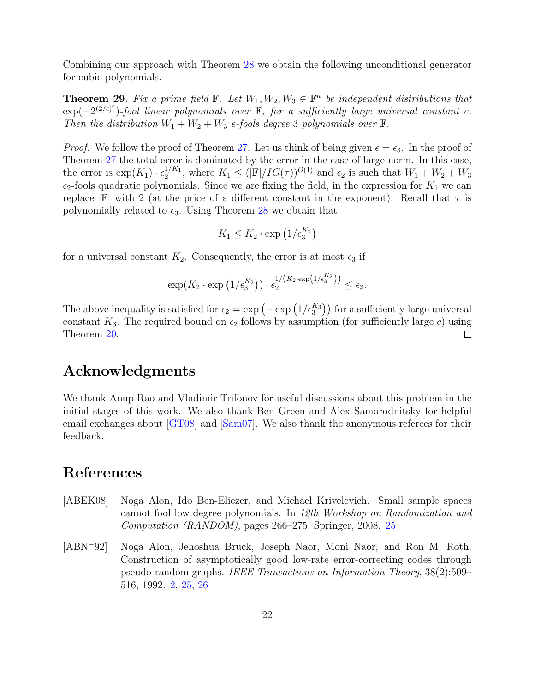<span id="page-22-1"></span>Combining our approach with Theorem [28](#page-21-1) we obtain the following unconditional generator for cubic polynomials.

**Theorem 29.** Fix a prime field  $\mathbb{F}$ . Let  $W_1, W_2, W_3 \in \mathbb{F}^n$  be independent distributions that  $\exp(-2^{(2/\epsilon)^c})$ -fool linear polynomials over  $\mathbb F$ , for a sufficiently large universal constant c. Then the distribution  $W_1 + W_2 + W_3$  e-fools degree 3 polynomials over  $\mathbb{F}$ .

*Proof.* We follow the proof of Theorem [27.](#page-20-2) Let us think of being given  $\epsilon = \epsilon_3$ . In the proof of Theorem [27](#page-20-2) the total error is dominated by the error in the case of large norm. In this case, the error is  $\exp(K_1) \cdot \epsilon_2^{1/K_1}$  $\epsilon_2^{1/K_1}$ , where  $K_1 \leq (|\mathbb{F}|/IG(\tau))^{O(1)}$  and  $\epsilon_2$  is such that  $W_1 + W_2 + W_3$  $\epsilon_2$ -fools quadratic polynomials. Since we are fixing the field, in the expression for  $K_1$  we can replace  $|\mathbb{F}|$  with 2 (at the price of a different constant in the exponent). Recall that  $\tau$  is polynomially related to  $\epsilon_3$ . Using Theorem [28](#page-21-1) we obtain that

$$
K_1 \le K_2 \cdot \exp\left(1/\epsilon_3^{K_2}\right)
$$

for a universal constant  $K_2$ . Consequently, the error is at most  $\epsilon_3$  if

$$
\exp(K_2 \cdot \exp\left(1/\epsilon_3^{K_2}\right)) \cdot \epsilon_2^{1/(K_2 \cdot \exp\left(1/\epsilon_3^{K_2}\right))} \le \epsilon_3.
$$

The above inequality is satisfied for  $\epsilon_2 = \exp(-\exp(1/\epsilon_3^{K_3}))$  for a sufficiently large universal constant  $K_3$ . The required bound on  $\epsilon_2$  follows by assumption (for sufficiently large c) using Theorem [20.](#page-13-3)  $\Box$ 

### Acknowledgments

We thank Anup Rao and Vladimir Trifonov for useful discussions about this problem in the initial stages of this work. We also thank Ben Green and Alex Samorodnitsky for helpful email exchanges about [\[GT08\]](#page-23-5) and [\[Sam07\]](#page-24-4). We also thank the anonymous referees for their feedback.

#### References

- <span id="page-22-2"></span>[ABEK08] Noga Alon, Ido Ben-Eliezer, and Michael Krivelevich. Small sample spaces cannot fool low degree polynomials. In 12th Workshop on Randomization and Computation (RANDOM), pages 266–275. Springer, 2008. [25](#page-25-1)
- <span id="page-22-0"></span>[ABN<sup>+</sup>92] Noga Alon, Jehoshua Bruck, Joseph Naor, Moni Naor, and Ron M. Roth. Construction of asymptotically good low-rate error-correcting codes through pseudo-random graphs. IEEE Transactions on Information Theory, 38(2):509– 516, 1992. [2,](#page-2-1) [25,](#page-25-1) [26](#page-26-0)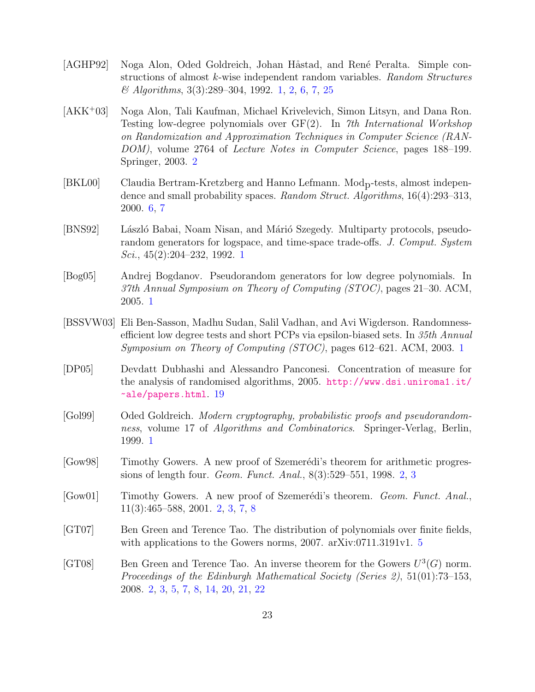- <span id="page-23-1"></span>[AGHP92] Noga Alon, Oded Goldreich, Johan Håstad, and René Peralta. Simple constructions of almost k-wise independent random variables. Random Structures  $\mathcal{O}$  Algorithms, 3(3):289–304, 1992. [1,](#page-0-0) [2,](#page-2-1) [6,](#page-6-2) [7,](#page-7-2) [25](#page-25-1)
- <span id="page-23-8"></span>[AKK<sup>+</sup>03] Noga Alon, Tali Kaufman, Michael Krivelevich, Simon Litsyn, and Dana Ron. Testing low-degree polynomials over GF(2). In 7th International Workshop on Randomization and Approximation Techniques in Computer Science (RAN-DOM), volume 2764 of Lecture Notes in Computer Science, pages 188–199. Springer, 2003. [2](#page-2-1)
- <span id="page-23-10"></span>[BKL00] Claudia Bertram-Kretzberg and Hanno Lefmann. Modp-tests, almost independence and small probability spaces. Random Struct. Algorithms, 16(4):293–313, 2000. [6,](#page-6-2) [7](#page-7-2)
- <span id="page-23-3"></span>[BNS92] László Babai, Noam Nisan, and Márió Szegedy. Multiparty protocols, pseudorandom generators for logspace, and time-space trade-offs. J. Comput. System Sci., 45(2):204–232, 1992. [1](#page-0-0)
- <span id="page-23-4"></span>[Bog05] Andrej Bogdanov. Pseudorandom generators for low degree polynomials. In 37th Annual Symposium on Theory of Computing (STOC), pages 21–30. ACM, 2005. [1](#page-0-0)
- <span id="page-23-2"></span>[BSSVW03] Eli Ben-Sasson, Madhu Sudan, Salil Vadhan, and Avi Wigderson. Randomnessefficient low degree tests and short PCPs via epsilon-biased sets. In 35th Annual Symposium on Theory of Computing (STOC), pages 612–621. ACM, 2003. [1](#page-0-0)
- <span id="page-23-11"></span>[DP05] Devdatt Dubhashi and Alessandro Panconesi. Concentration of measure for the analysis of randomised algorithms, 2005. [http://www.dsi.uniroma1.it/](http://www.dsi.uniroma1.it/~ale/papers.html) [~ale/papers.html](http://www.dsi.uniroma1.it/~ale/papers.html). [19](#page-19-1)
- <span id="page-23-0"></span>[Gol99] Oded Goldreich. Modern cryptography, probabilistic proofs and pseudorandomness, volume 17 of Algorithms and Combinatorics. Springer-Verlag, Berlin, 1999. [1](#page-0-0)
- <span id="page-23-6"></span>[Gow98] Timothy Gowers. A new proof of Szemerédi's theorem for arithmetic progressions of length four. Geom. Funct. Anal., 8(3):529–551, 1998. [2,](#page-2-1) [3](#page-3-3)
- <span id="page-23-7"></span>[Gow01] Timothy Gowers. A new proof of Szemerédi's theorem. Geom. Funct. Anal., 11(3):465–588, 2001. [2,](#page-2-1) [3,](#page-3-3) [7,](#page-7-2) [8](#page-8-6)
- <span id="page-23-9"></span>[GT07] Ben Green and Terence Tao. The distribution of polynomials over finite fields, with applications to the Gowers norms, 2007. arXiv:0711.3191v1. [5](#page-5-0)
- <span id="page-23-5"></span>[GT08] Ben Green and Terence Tao. An inverse theorem for the Gowers  $U^3(G)$  norm. Proceedings of the Edinburgh Mathematical Society (Series 2), 51(01):73–153, 2008. [2,](#page-2-1) [3,](#page-3-3) [5,](#page-5-0) [7,](#page-7-2) [8,](#page-8-6) [14,](#page-14-2) [20,](#page-20-3) [21,](#page-21-2) [22](#page-22-1)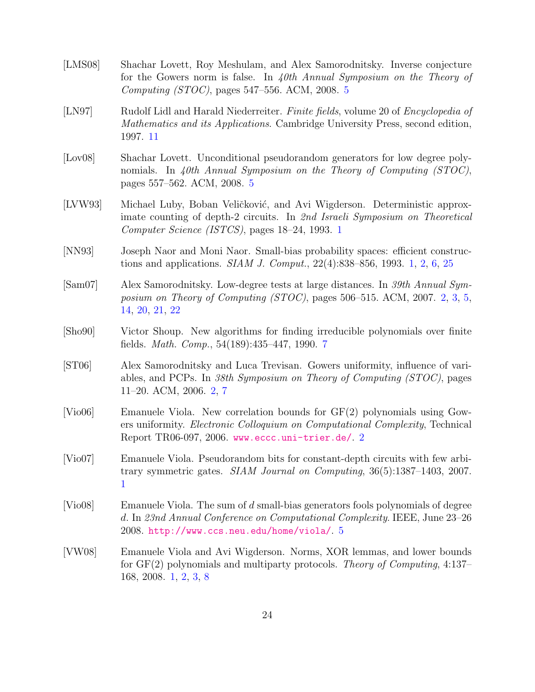<span id="page-24-11"></span><span id="page-24-10"></span><span id="page-24-9"></span><span id="page-24-8"></span><span id="page-24-7"></span><span id="page-24-6"></span><span id="page-24-5"></span><span id="page-24-4"></span><span id="page-24-3"></span><span id="page-24-2"></span><span id="page-24-1"></span><span id="page-24-0"></span>[LMS08] Shachar Lovett, Roy Meshulam, and Alex Samorodnitsky. Inverse conjecture for the Gowers norm is false. In 40th Annual Symposium on the Theory of Computing (STOC), pages 547–556. ACM, 2008. [5](#page-5-0) [LN97] Rudolf Lidl and Harald Niederreiter. Finite fields, volume 20 of Encyclopedia of Mathematics and its Applications. Cambridge University Press, second edition, 1997. [11](#page-11-6) [Lov08] Shachar Lovett. Unconditional pseudorandom generators for low degree polynomials. In 40th Annual Symposium on the Theory of Computing  $(TOC)$ , pages 557–562. ACM, 2008. [5](#page-5-0) [LVW93] Michael Luby, Boban Veličković, and Avi Wigderson. Deterministic approximate counting of depth-2 circuits. In 2nd Israeli Symposium on Theoretical Computer Science (ISTCS), pages 18–24, 1993. [1](#page-0-0) [NN93] Joseph Naor and Moni Naor. Small-bias probability spaces: efficient constructions and applications. SIAM J. Comput., 22(4):838–856, 1993. [1,](#page-0-0) [2,](#page-2-1) [6,](#page-6-2) [25](#page-25-1) [Sam07] Alex Samorodnitsky. Low-degree tests at large distances. In 39th Annual Symposium on Theory of Computing (STOC), pages 506–515. ACM, 2007. [2,](#page-2-1) [3,](#page-3-3) [5,](#page-5-0) [14,](#page-14-2) [20,](#page-20-3) [21,](#page-21-2) [22](#page-22-1) [Sho90] Victor Shoup. New algorithms for finding irreducible polynomials over finite fields. Math. Comp., 54(189):435–447, 1990. [7](#page-7-2) [ST06] Alex Samorodnitsky and Luca Trevisan. Gowers uniformity, influence of variables, and PCPs. In 38th Symposium on Theory of Computing (STOC), pages 11–20. ACM, 2006. [2,](#page-2-1) [7](#page-7-2) [Vio06] Emanuele Viola. New correlation bounds for GF(2) polynomials using Gowers uniformity. Electronic Colloquium on Computational Complexity, Technical Report TR06-097, 2006. <www.eccc.uni-trier.de/>. [2](#page-2-1) [Vio07] Emanuele Viola. Pseudorandom bits for constant-depth circuits with few arbitrary symmetric gates. SIAM Journal on Computing, 36(5):1387–1403, 2007. [1](#page-0-0) [Vio08] Emanuele Viola. The sum of d small-bias generators fools polynomials of degree d. In 23nd Annual Conference on Computational Complexity. IEEE, June 23–26 2008. <http://www.ccs.neu.edu/home/viola/>. [5](#page-5-0) [VW08] Emanuele Viola and Avi Wigderson. Norms, XOR lemmas, and lower bounds for GF(2) polynomials and multiparty protocols. Theory of Computing, 4:137– 168, 2008. [1,](#page-0-0) [2,](#page-2-1) [3,](#page-3-3) [8](#page-8-6)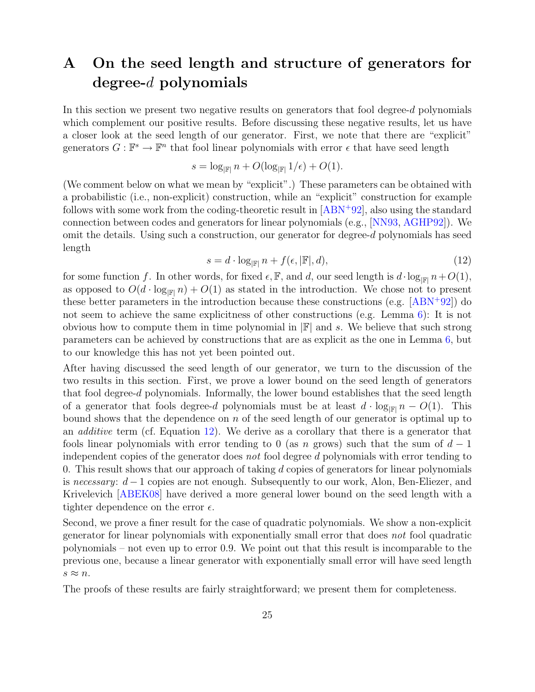# <span id="page-25-1"></span><span id="page-25-0"></span>A On the seed length and structure of generators for degree-d polynomials

In this section we present two negative results on generators that fool degree- $d$  polynomials which complement our positive results. Before discussing these negative results, let us have a closer look at the seed length of our generator. First, we note that there are "explicit" generators  $G: \mathbb{F}^s \to \mathbb{F}^n$  that fool linear polynomials with error  $\epsilon$  that have seed length

$$
s = \log_{\mathbb{F}} n + O(\log_{\mathbb{F}} 1/\epsilon) + O(1).
$$

(We comment below on what we mean by "explicit".) These parameters can be obtained with a probabilistic (i.e., non-explicit) construction, while an "explicit" construction for example follows with some work from the coding-theoretic result in [\[ABN](#page-22-0)<sup>+</sup>92], also using the standard connection between codes and generators for linear polynomials (e.g., [\[NN93,](#page-24-0) [AGHP92\]](#page-23-1)). We omit the details. Using such a construction, our generator for degree-d polynomials has seed length

<span id="page-25-2"></span>
$$
s = d \cdot \log_{\left|\mathbb{F}\right|} n + f(\epsilon, \left|\mathbb{F}\right|, d),\tag{12}
$$

for some function f. In other words, for fixed  $\epsilon$ , F, and d, our seed length is  $d \cdot \log_{\mathbb{F}} n + O(1)$ , as opposed to  $O(d \cdot \log_{\mathbb{F}^n} n) + O(1)$  as stated in the introduction. We chose not to present these better parameters in the introduction because these constructions (e.g.  $[ABN+92]$  $[ABN+92]$ ) do not seem to achieve the same explicitness of other constructions (e.g. Lemma [6\)](#page-6-1): It is not obvious how to compute them in time polynomial in  $\mathbb{F}$  and s. We believe that such strong parameters can be achieved by constructions that are as explicit as the one in Lemma [6,](#page-6-1) but to our knowledge this has not yet been pointed out.

After having discussed the seed length of our generator, we turn to the discussion of the two results in this section. First, we prove a lower bound on the seed length of generators that fool degree-d polynomials. Informally, the lower bound establishes that the seed length of a generator that fools degree-d polynomials must be at least  $d \cdot \log_{\mathbb{F}^{\parallel}} n - O(1)$ . This bound shows that the dependence on  $n$  of the seed length of our generator is optimal up to an additive term (cf. Equation [12\)](#page-25-2). We derive as a corollary that there is a generator that fools linear polynomials with error tending to 0 (as n grows) such that the sum of  $d-1$ independent copies of the generator does not fool degree d polynomials with error tending to 0. This result shows that our approach of taking  $d$  copies of generators for linear polynomials is necessary:  $d-1$  copies are not enough. Subsequently to our work, Alon, Ben-Eliezer, and Krivelevich [\[ABEK08\]](#page-22-2) have derived a more general lower bound on the seed length with a tighter dependence on the error  $\epsilon$ .

Second, we prove a finer result for the case of quadratic polynomials. We show a non-explicit generator for linear polynomials with exponentially small error that does not fool quadratic polynomials – not even up to error 0.9. We point out that this result is incomparable to the previous one, because a linear generator with exponentially small error will have seed length  $s \approx n$ .

The proofs of these results are fairly straightforward; we present them for completeness.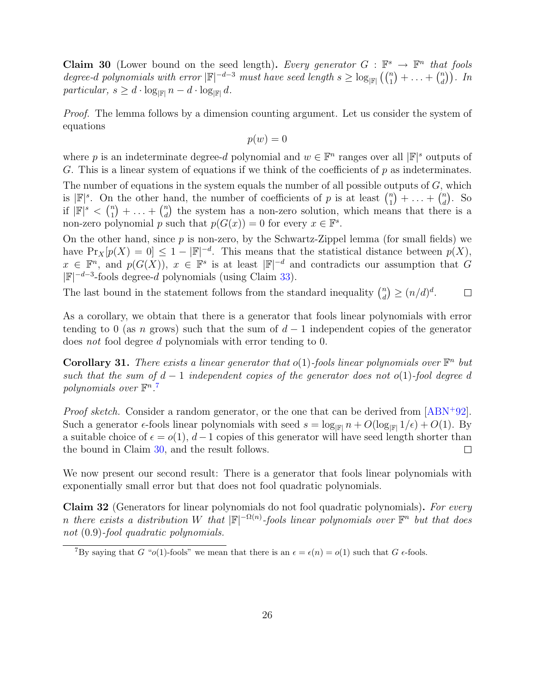<span id="page-26-2"></span><span id="page-26-0"></span>**Claim 30** (Lower bound on the seed length). Every generator  $G : \mathbb{F}^s \to \mathbb{F}^n$  that fools degree-d polynomials with error  $|\mathbb{F}|^{-d-3}$  must have seed length  $s \geq \log_{|\mathbb{F}|} (\binom{n}{1} + \ldots + \binom{n}{d}$  $\binom{n}{d}$ . In particular,  $s \geq d \cdot \log_{\mathbb{F}} n - d \cdot \log_{\mathbb{F}} d$ .

Proof. The lemma follows by a dimension counting argument. Let us consider the system of equations

$$
p(w) = 0
$$

where p is an indeterminate degree-d polynomial and  $w \in \mathbb{F}^n$  ranges over all  $|\mathbb{F}|^s$  outputs of G. This is a linear system of equations if we think of the coefficients of  $p$  as indeterminates.

The number of equations in the system equals the number of all possible outputs of  $G$ , which is  $|\mathbb{F}|^s$ . On the other hand, the number of coefficients of p is at least  $\binom{n}{1}$  $\binom{n}{1} + \ldots + \binom{n}{d}$  $\binom{n}{d}$ . So if  $|\mathbb{F}|^s < \binom{n}{1}$  $\binom{n}{1} + \ldots + \binom{n}{d}$  $\binom{n}{d}$  the system has a non-zero solution, which means that there is a non-zero polynomial p such that  $p(G(x)) = 0$  for every  $x \in \mathbb{F}^s$ .

On the other hand, since  $p$  is non-zero, by the Schwartz-Zippel lemma (for small fields) we have  $Pr_X[p(X) = 0] \leq 1 - |\mathbb{F}|^{-d}$ . This means that the statistical distance between  $p(X)$ ,  $x \in \mathbb{F}^n$ , and  $p(G(X))$ ,  $x \in \mathbb{F}^s$  is at least  $|\mathbb{F}|^{-d}$  and contradicts our assumption that G  $|\mathbb{F}|^{-d-3}$ -fools degree-d polynomials (using Claim [33\)](#page-28-1).

The last bound in the statement follows from the standard inequality  $\binom{n}{d}$  $\binom{n}{d} \geq (n/d)^d$ .  $\Box$ 

As a corollary, we obtain that there is a generator that fools linear polynomials with error tending to 0 (as n grows) such that the sum of  $d-1$  independent copies of the generator does not fool degree d polynomials with error tending to 0.

**Corollary 31.** There exists a linear generator that  $o(1)$ -fools linear polynomials over  $\mathbb{F}^n$  but such that the sum of  $d-1$  independent copies of the generator does not o(1)-fool degree d polynomials over  $\mathbb{F}^n$ .<sup>[7](#page-26-1)</sup>

*Proof sketch.* Consider a random generator, or the one that can be derived from  $[ABN+92]$  $[ABN+92]$ . Such a generator  $\epsilon$ -fools linear polynomials with seed  $s = \log_{\mathbb{F}|n} n + O(\log_{\mathbb{F}|n} 1/\epsilon) + O(1)$ . By a suitable choice of  $\epsilon = o(1)$ ,  $d-1$  copies of this generator will have seed length shorter than the bound in Claim [30,](#page-26-2) and the result follows.  $\Box$ 

We now present our second result: There is a generator that fools linear polynomials with exponentially small error but that does not fool quadratic polynomials.

Claim 32 (Generators for linear polynomials do not fool quadratic polynomials). For every n there exists a distribution W that  $\mathbb{F}^{-\Omega(n)}$ -fools linear polynomials over  $\mathbb{F}^n$  but that does not (0.9)-fool quadratic polynomials.

<span id="page-26-1"></span><sup>&</sup>lt;sup>7</sup>By saying that G "o(1)-fools" we mean that there is an  $\epsilon = \epsilon(n) = o(1)$  such that G  $\epsilon$ -fools.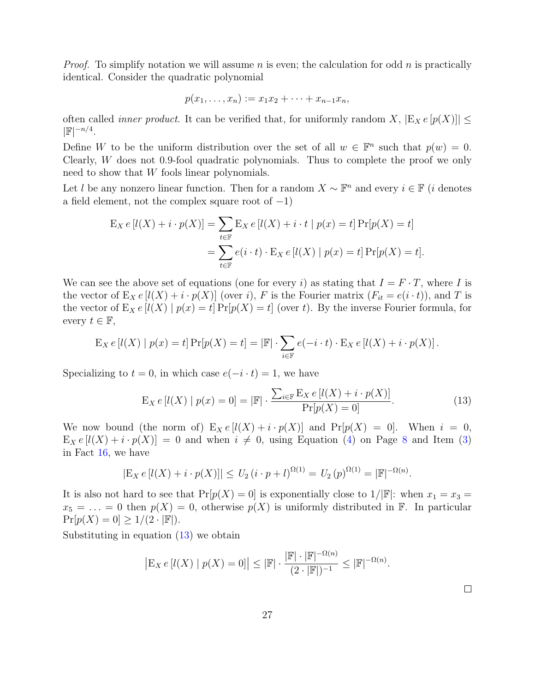*Proof.* To simplify notation we will assume n is even; the calculation for odd n is practically identical. Consider the quadratic polynomial

$$
p(x_1,...,x_n) := x_1x_2 + \cdots + x_{n-1}x_n,
$$

often called *inner product*. It can be verified that, for uniformly random X,  $|E_X e[p(X)]| \le$  $|\mathbb{F}|^{-n/4}.$ 

Define W to be the uniform distribution over the set of all  $w \in \mathbb{F}^n$  such that  $p(w) = 0$ . Clearly, W does not 0.9-fool quadratic polynomials. Thus to complete the proof we only need to show that W fools linear polynomials.

Let l be any nonzero linear function. Then for a random  $X \sim \mathbb{F}^n$  and every  $i \in \mathbb{F}$  (i denotes a field element, not the complex square root of  $-1$ )

$$
\begin{aligned} \mathcal{E}_X \, e\left[ l(X) + i \cdot p(X) \right] &= \sum_{t \in \mathbb{F}} \mathcal{E}_X \, e\left[ l(X) + i \cdot t \mid p(x) = t \right] \Pr[p(X) = t] \\ &= \sum_{t \in \mathbb{F}} e(i \cdot t) \cdot \mathcal{E}_X \, e\left[ l(X) \mid p(x) = t \right] \Pr[p(X) = t]. \end{aligned}
$$

We can see the above set of equations (one for every i) as stating that  $I = F \cdot T$ , where I is the vector of  $E_X e[l(X) + i \cdot p(X)]$  (over i), F is the Fourier matrix  $(F_{it} = e(i \cdot t))$ , and T is the vector of  $E_X e[l(X) | p(x) = t] Pr[p(X) = t]$  (over t). By the inverse Fourier formula, for every  $t \in \mathbb{F}$ ,

$$
E_X e[l(X) | p(x) = t] Pr[p(X) = t] = |\mathbb{F}| \cdot \sum_{i \in \mathbb{F}} e(-i \cdot t) \cdot E_X e[l(X) + i \cdot p(X)].
$$

Specializing to  $t = 0$ , in which case  $e(-i \cdot t) = 1$ , we have

<span id="page-27-0"></span>
$$
E_X e[l(X) | p(x) = 0] = |\mathbb{F}| \cdot \frac{\sum_{i \in \mathbb{F}} E_X e[l(X) + i \cdot p(X)]}{\Pr[p(X) = 0]}.
$$
\n(13)

We now bound (the norm of)  $E_X e[l(X) + i \cdot p(X)]$  and  $Pr[p(X) = 0]$ . When  $i = 0$ ,  $E_X e[l(X) + i \cdot p(X)] = 0$  and when  $i \neq 0$ , using Equation [\(4\)](#page-8-2) on Page [8](#page-8-2) and Item [\(3\)](#page-11-3) in Fact [16,](#page-10-1) we have

$$
|E_X e[l(X) + i \cdot p(X)]| \le U_2 (i \cdot p + l)^{\Omega(1)} = U_2 (p)^{\Omega(1)} = |\mathbb{F}|^{-\Omega(n)}.
$$

It is also not hard to see that  $Pr[p(X) = 0]$  is exponentially close to  $1/|\mathbb{F}|$ : when  $x_1 = x_3 =$  $x_5 = \ldots = 0$  then  $p(X) = 0$ , otherwise  $p(X)$  is uniformly distributed in F. In particular  $Pr[p(X) = 0] \ge 1/(2 \cdot |\mathbb{F}|).$ 

Substituting in equation [\(13\)](#page-27-0) we obtain

$$
\left| \mathcal{E}_X e\left[ l(X) \mid p(X) = 0 \right] \right| \leq \left| \mathbb{F} \right| \cdot \frac{\left| \mathbb{F} \right| \cdot \left| \mathbb{F} \right|^{-\Omega(n)}}{(2 \cdot \left| \mathbb{F} \right|)^{-1}} \leq \left| \mathbb{F} \right|^{-\Omega(n)}.
$$

 $\Box$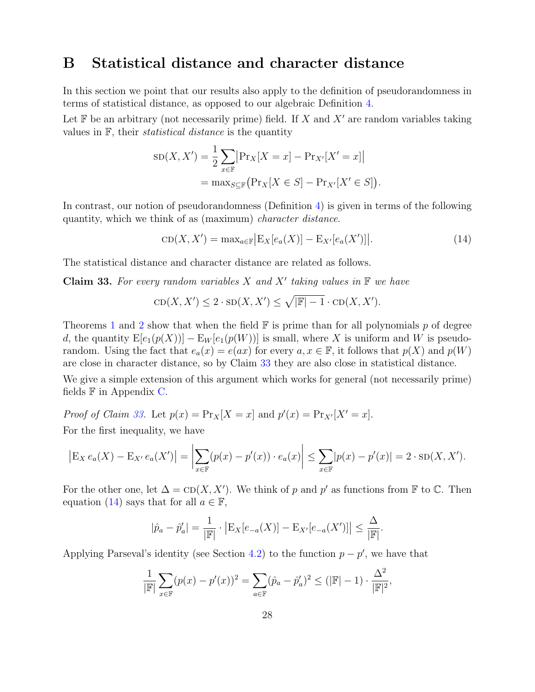### <span id="page-28-0"></span>B Statistical distance and character distance

In this section we point that our results also apply to the definition of pseudorandomness in terms of statistical distance, as opposed to our algebraic Definition [4.](#page-6-0)

Let  $\mathbb F$  be an arbitrary (not necessarily prime) field. If X and X' are random variables taking values in  $F$ , their *statistical distance* is the quantity

$$
SD(X, X') = \frac{1}{2} \sum_{x \in \mathbb{F}} \left| Pr_X[X = x] - Pr_{X'}[X' = x] \right|
$$
  
= 
$$
max_{S \subseteq \mathbb{F}} \left( Pr_X[X \in S] - Pr_{X'}[X' \in S] \right).
$$

In contrast, our notion of pseudorandomness (Definition [4\)](#page-6-0) is given in terms of the following quantity, which we think of as (maximum) character distance.

<span id="page-28-2"></span>
$$
CD(X, X') = \max_{a \in \mathbb{F}} \left| E_X[e_a(X)] - E_{X'}[e_a(X')] \right|.
$$
 (14)

The statistical distance and character distance are related as follows.

<span id="page-28-1"></span>**Claim 33.** For every random variables X and X' taking values in  $\mathbb{F}$  we have

$$
CD(X, X') \le 2 \cdot SD(X, X') \le \sqrt{|F| - 1} \cdot CD(X, X').
$$

Theorems [1](#page-1-4) and [2](#page-2-2) show that when the field  $\mathbb F$  is prime than for all polynomials p of degree d, the quantity  $E[e_1(p(X))] - E_W[e_1(p(W))]$  is small, where X is uniform and W is pseudorandom. Using the fact that  $e_a(x) = e(ax)$  for every  $a, x \in \mathbb{F}$ , it follows that  $p(X)$  and  $p(W)$ are close in character distance, so by Claim [33](#page-28-1) they are also close in statistical distance.

We give a simple extension of this argument which works for general (not necessarily prime) fields  $\mathbb F$  in Appendix [C.](#page-29-0)

Proof of Claim [33.](#page-28-1) Let  $p(x) = \Pr_X[X = x]$  and  $p'(x) = \Pr_{X'}[X' = x]$ . For the first inequality, we have

$$
\left| \mathcal{E}_X \, e_a(X) - \mathcal{E}_{X'} \, e_a(X') \right| = \left| \sum_{x \in \mathbb{F}} (p(x) - p'(x)) \cdot e_a(x) \right| \leq \sum_{x \in \mathbb{F}} |p(x) - p'(x)| = 2 \cdot SD(X, X').
$$

For the other one, let  $\Delta = \text{CD}(X, X')$ . We think of p and p' as functions from F to C. Then equation [\(14\)](#page-28-2) says that for all  $a \in \mathbb{F}$ ,

$$
|\hat{p}_a - \hat{p}'_a| = \frac{1}{|\mathbb{F}|} \cdot |\mathbb{E}_X[e_{-a}(X)] - \mathbb{E}_{X'}[e_{-a}(X')]| \le \frac{\Delta}{|\mathbb{F}|}.
$$

Applying Parseval's identity (see Section [4.2\)](#page-12-1) to the function  $p - p'$ , we have that

$$
\frac{1}{|\mathbb{F}|} \sum_{x \in \mathbb{F}} (p(x) - p'(x))^2 = \sum_{a \in \mathbb{F}} (\hat{p}_a - \hat{p}'_a)^2 \le (|\mathbb{F}| - 1) \cdot \frac{\Delta^2}{|\mathbb{F}|^2},
$$